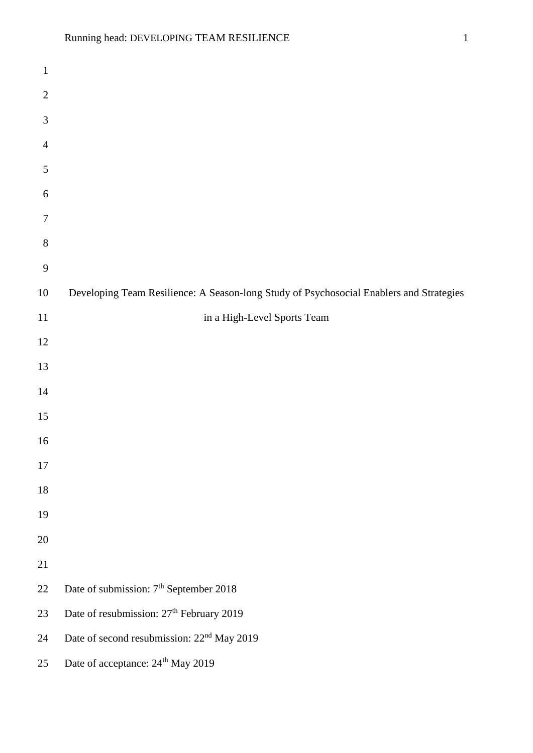| $\mathbf{1}$   |                                                                                         |
|----------------|-----------------------------------------------------------------------------------------|
| $\sqrt{2}$     |                                                                                         |
| $\mathfrak{Z}$ |                                                                                         |
| $\overline{4}$ |                                                                                         |
| $\sqrt{5}$     |                                                                                         |
| 6              |                                                                                         |
| $\tau$         |                                                                                         |
| $\,$ $\,$      |                                                                                         |
| 9              |                                                                                         |
| $10\,$         | Developing Team Resilience: A Season-long Study of Psychosocial Enablers and Strategies |
| $11\,$         | in a High-Level Sports Team                                                             |
| 12             |                                                                                         |
| 13             |                                                                                         |
| $14\,$         |                                                                                         |
| 15             |                                                                                         |
| 16             |                                                                                         |
| 17             |                                                                                         |
| $18\,$         |                                                                                         |
| 19             |                                                                                         |
| $20\,$         |                                                                                         |
| $21\,$         |                                                                                         |
| 22             | Date of submission: 7 <sup>th</sup> September 2018                                      |
| 23             | Date of resubmission: 27 <sup>th</sup> February 2019                                    |
| 24             | Date of second resubmission: 22 <sup>nd</sup> May 2019                                  |
| 25             | Date of acceptance: 24 <sup>th</sup> May 2019                                           |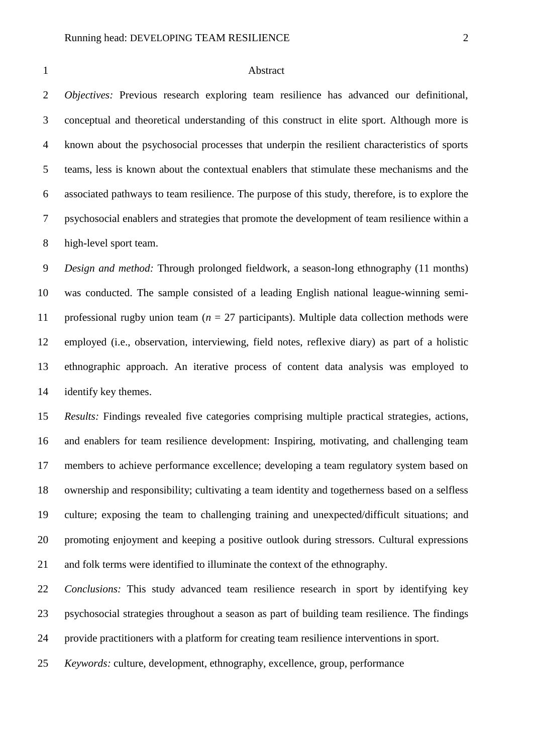#### Abstract

 *Objectives:* Previous research exploring team resilience has advanced our definitional, conceptual and theoretical understanding of this construct in elite sport. Although more is known about the psychosocial processes that underpin the resilient characteristics of sports teams, less is known about the contextual enablers that stimulate these mechanisms and the associated pathways to team resilience. The purpose of this study, therefore, is to explore the psychosocial enablers and strategies that promote the development of team resilience within a high-level sport team.

 *Design and method:* Through prolonged fieldwork, a season-long ethnography (11 months) was conducted. The sample consisted of a leading English national league-winning semi- professional rugby union team (*n* = 27 participants). Multiple data collection methods were employed (i.e., observation, interviewing, field notes, reflexive diary) as part of a holistic ethnographic approach. An iterative process of content data analysis was employed to identify key themes.

 *Results:* Findings revealed five categories comprising multiple practical strategies, actions, and enablers for team resilience development: Inspiring, motivating, and challenging team members to achieve performance excellence; developing a team regulatory system based on ownership and responsibility; cultivating a team identity and togetherness based on a selfless culture; exposing the team to challenging training and unexpected/difficult situations; and promoting enjoyment and keeping a positive outlook during stressors. Cultural expressions and folk terms were identified to illuminate the context of the ethnography.

 *Conclusions:* This study advanced team resilience research in sport by identifying key psychosocial strategies throughout a season as part of building team resilience. The findings provide practitioners with a platform for creating team resilience interventions in sport.

*Keywords:* culture, development, ethnography, excellence, group, performance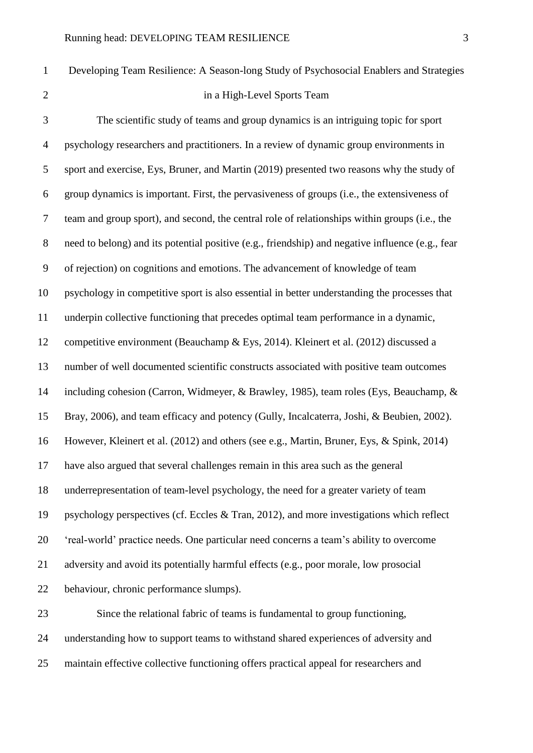Developing Team Resilience: A Season-long Study of Psychosocial Enablers and Strategies 2 in a High-Level Sports Team

 The scientific study of teams and group dynamics is an intriguing topic for sport psychology researchers and practitioners. In a review of dynamic group environments in sport and exercise, Eys, Bruner, and Martin (2019) presented two reasons why the study of group dynamics is important. First, the pervasiveness of groups (i.e., the extensiveness of team and group sport), and second, the central role of relationships within groups (i.e., the need to belong) and its potential positive (e.g., friendship) and negative influence (e.g., fear of rejection) on cognitions and emotions. The advancement of knowledge of team psychology in competitive sport is also essential in better understanding the processes that underpin collective functioning that precedes optimal team performance in a dynamic, competitive environment (Beauchamp & Eys, 2014). Kleinert et al. (2012) discussed a number of well documented scientific constructs associated with positive team outcomes including cohesion (Carron, Widmeyer, & Brawley, 1985), team roles (Eys, Beauchamp, & Bray, 2006), and team efficacy and potency (Gully, Incalcaterra, Joshi, & Beubien, 2002). However, Kleinert et al. (2012) and others (see e.g., Martin, Bruner, Eys, & Spink, 2014) have also argued that several challenges remain in this area such as the general underrepresentation of team-level psychology, the need for a greater variety of team psychology perspectives (cf. Eccles & Tran, 2012), and more investigations which reflect 'real-world' practice needs. One particular need concerns a team's ability to overcome adversity and avoid its potentially harmful effects (e.g., poor morale, low prosocial behaviour, chronic performance slumps).

 Since the relational fabric of teams is fundamental to group functioning, understanding how to support teams to withstand shared experiences of adversity and maintain effective collective functioning offers practical appeal for researchers and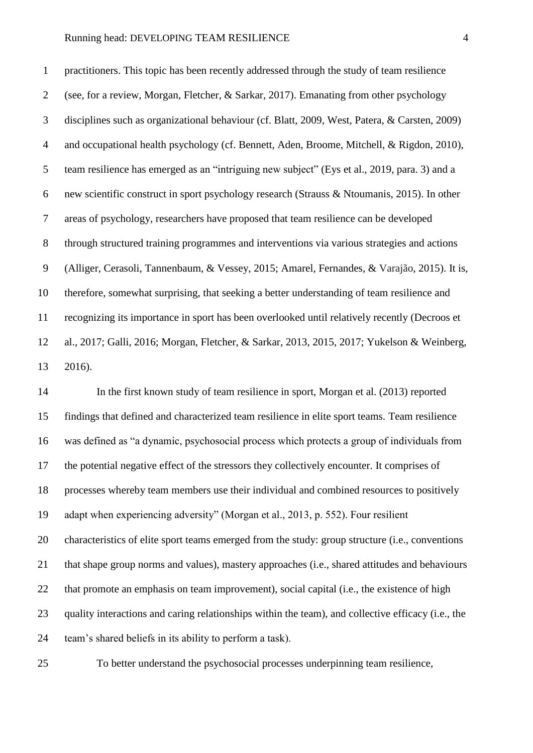practitioners. This topic has been recently addressed through the study of team resilience (see, for a review, Morgan, Fletcher, & Sarkar, 2017). Emanating from other psychology disciplines such as organizational behaviour (cf. Blatt, 2009, West, Patera, & Carsten, 2009) and occupational health psychology (cf. Bennett, Aden, Broome, Mitchell, & Rigdon, 2010), team resilience has emerged as an "intriguing new subject" (Eys et al., 2019, para. 3) and a new scientific construct in sport psychology research (Strauss & Ntoumanis, 2015). In other areas of psychology, researchers have proposed that team resilience can be developed through structured training programmes and interventions via various strategies and actions (Alliger, Cerasoli, Tannenbaum, & Vessey, 2015; Amarel, Fernandes, & Varajão, 2015). It is, therefore, somewhat surprising, that seeking a better understanding of team resilience and recognizing its importance in sport has been overlooked until relatively recently (Decroos et al., 2017; Galli, 2016; Morgan, Fletcher, & Sarkar, 2013, 2015, 2017; Yukelson & Weinberg, 2016).

 In the first known study of team resilience in sport, Morgan et al. (2013) reported findings that defined and characterized team resilience in elite sport teams. Team resilience was defined as "a dynamic, psychosocial process which protects a group of individuals from the potential negative effect of the stressors they collectively encounter. It comprises of processes whereby team members use their individual and combined resources to positively adapt when experiencing adversity" (Morgan et al., 2013, p. 552). Four resilient characteristics of elite sport teams emerged from the study: group structure (i.e., conventions that shape group norms and values), mastery approaches (i.e., shared attitudes and behaviours 22 that promote an emphasis on team improvement), social capital (i.e., the existence of high quality interactions and caring relationships within the team), and collective efficacy (i.e., the team's shared beliefs in its ability to perform a task).

To better understand the psychosocial processes underpinning team resilience,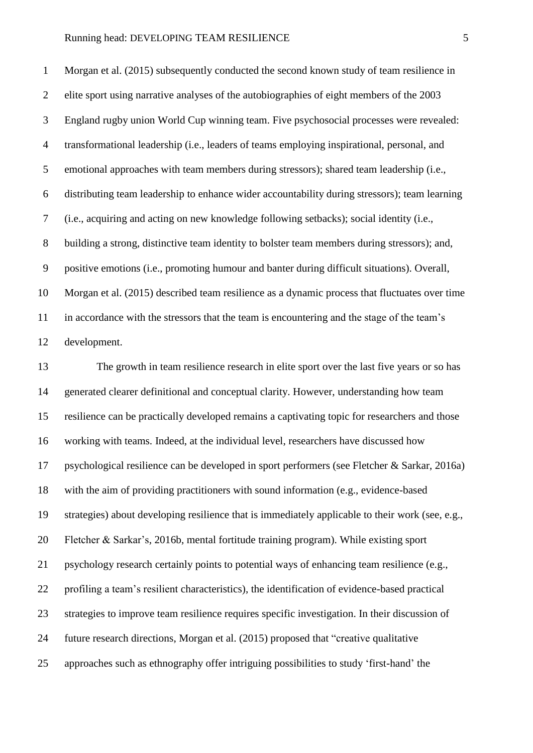Morgan et al. (2015) subsequently conducted the second known study of team resilience in elite sport using narrative analyses of the autobiographies of eight members of the 2003 England rugby union World Cup winning team. Five psychosocial processes were revealed: transformational leadership (i.e., leaders of teams employing inspirational, personal, and emotional approaches with team members during stressors); shared team leadership (i.e., distributing team leadership to enhance wider accountability during stressors); team learning (i.e., acquiring and acting on new knowledge following setbacks); social identity (i.e., building a strong, distinctive team identity to bolster team members during stressors); and, positive emotions (i.e., promoting humour and banter during difficult situations). Overall, Morgan et al. (2015) described team resilience as a dynamic process that fluctuates over time in accordance with the stressors that the team is encountering and the stage of the team's development.

 The growth in team resilience research in elite sport over the last five years or so has generated clearer definitional and conceptual clarity. However, understanding how team resilience can be practically developed remains a captivating topic for researchers and those working with teams. Indeed, at the individual level, researchers have discussed how psychological resilience can be developed in sport performers (see Fletcher & Sarkar, 2016a) with the aim of providing practitioners with sound information (e.g., evidence-based strategies) about developing resilience that is immediately applicable to their work (see, e.g., Fletcher & Sarkar's, 2016b, mental fortitude training program). While existing sport psychology research certainly points to potential ways of enhancing team resilience (e.g., profiling a team's resilient characteristics), the identification of evidence-based practical strategies to improve team resilience requires specific investigation. In their discussion of future research directions, Morgan et al. (2015) proposed that "creative qualitative approaches such as ethnography offer intriguing possibilities to study 'first-hand' the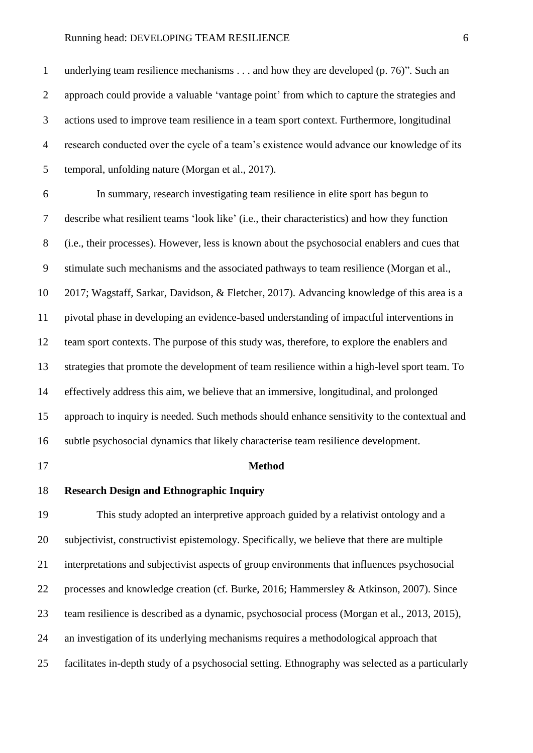underlying team resilience mechanisms . . . and how they are developed (p. 76)". Such an approach could provide a valuable 'vantage point' from which to capture the strategies and actions used to improve team resilience in a team sport context. Furthermore, longitudinal research conducted over the cycle of a team's existence would advance our knowledge of its temporal, unfolding nature (Morgan et al., 2017).

 In summary, research investigating team resilience in elite sport has begun to describe what resilient teams 'look like' (i.e., their characteristics) and how they function (i.e., their processes). However, less is known about the psychosocial enablers and cues that stimulate such mechanisms and the associated pathways to team resilience (Morgan et al., 2017; Wagstaff, Sarkar, Davidson, & Fletcher, 2017). Advancing knowledge of this area is a pivotal phase in developing an evidence-based understanding of impactful interventions in team sport contexts. The purpose of this study was, therefore, to explore the enablers and strategies that promote the development of team resilience within a high-level sport team. To effectively address this aim, we believe that an immersive, longitudinal, and prolonged approach to inquiry is needed. Such methods should enhance sensitivity to the contextual and subtle psychosocial dynamics that likely characterise team resilience development.

#### **Method**

#### **Research Design and Ethnographic Inquiry**

 This study adopted an interpretive approach guided by a relativist ontology and a subjectivist, constructivist epistemology. Specifically, we believe that there are multiple interpretations and subjectivist aspects of group environments that influences psychosocial processes and knowledge creation (cf. Burke, 2016; Hammersley & Atkinson, 2007). Since team resilience is described as a dynamic, psychosocial process (Morgan et al., 2013, 2015), an investigation of its underlying mechanisms requires a methodological approach that facilitates in-depth study of a psychosocial setting. Ethnography was selected as a particularly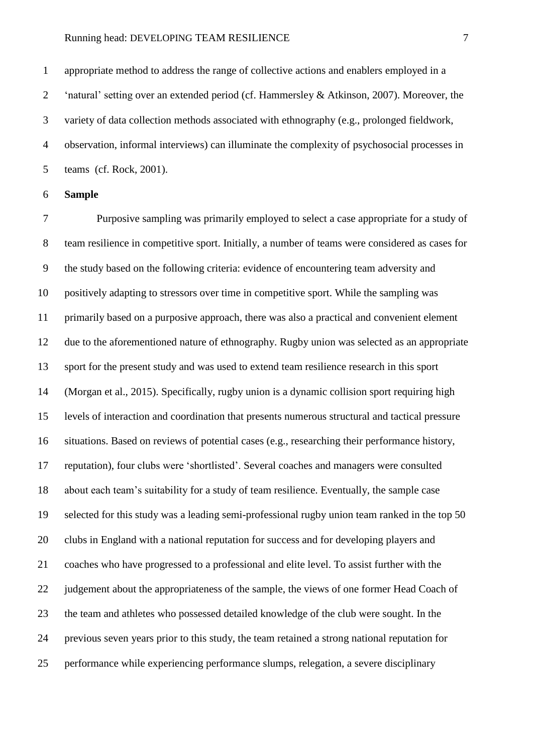appropriate method to address the range of collective actions and enablers employed in a 'natural' setting over an extended period (cf. Hammersley & Atkinson, 2007). Moreover, the variety of data collection methods associated with ethnography (e.g., prolonged fieldwork, observation, informal interviews) can illuminate the complexity of psychosocial processes in teams (cf. Rock, 2001).

**Sample**

 Purposive sampling was primarily employed to select a case appropriate for a study of team resilience in competitive sport. Initially, a number of teams were considered as cases for the study based on the following criteria: evidence of encountering team adversity and positively adapting to stressors over time in competitive sport. While the sampling was primarily based on a purposive approach, there was also a practical and convenient element due to the aforementioned nature of ethnography. Rugby union was selected as an appropriate sport for the present study and was used to extend team resilience research in this sport (Morgan et al., 2015). Specifically, rugby union is a dynamic collision sport requiring high levels of interaction and coordination that presents numerous structural and tactical pressure situations. Based on reviews of potential cases (e.g., researching their performance history, reputation), four clubs were 'shortlisted'. Several coaches and managers were consulted about each team's suitability for a study of team resilience. Eventually, the sample case selected for this study was a leading semi-professional rugby union team ranked in the top 50 clubs in England with a national reputation for success and for developing players and coaches who have progressed to a professional and elite level. To assist further with the 22 judgement about the appropriateness of the sample, the views of one former Head Coach of the team and athletes who possessed detailed knowledge of the club were sought. In the previous seven years prior to this study, the team retained a strong national reputation for performance while experiencing performance slumps, relegation, a severe disciplinary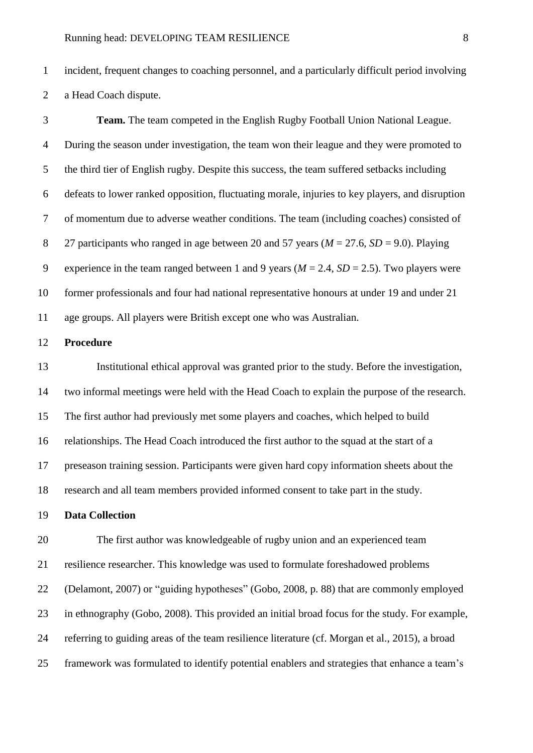incident, frequent changes to coaching personnel, and a particularly difficult period involving a Head Coach dispute.

 **Team.** The team competed in the English Rugby Football Union National League. During the season under investigation, the team won their league and they were promoted to the third tier of English rugby. Despite this success, the team suffered setbacks including defeats to lower ranked opposition, fluctuating morale, injuries to key players, and disruption of momentum due to adverse weather conditions. The team (including coaches) consisted of 27 participants who ranged in age between 20 and 57 years (*M* = 27.6, *SD* = 9.0). Playing 9 experience in the team ranged between 1 and 9 years  $(M = 2.4, SD = 2.5)$ . Two players were former professionals and four had national representative honours at under 19 and under 21 age groups. All players were British except one who was Australian.

#### **Procedure**

 Institutional ethical approval was granted prior to the study. Before the investigation, two informal meetings were held with the Head Coach to explain the purpose of the research. The first author had previously met some players and coaches, which helped to build relationships. The Head Coach introduced the first author to the squad at the start of a preseason training session. Participants were given hard copy information sheets about the research and all team members provided informed consent to take part in the study.

#### **Data Collection**

 The first author was knowledgeable of rugby union and an experienced team resilience researcher. This knowledge was used to formulate foreshadowed problems (Delamont, 2007) or "guiding hypotheses" (Gobo, 2008, p. 88) that are commonly employed in ethnography (Gobo, 2008). This provided an initial broad focus for the study. For example, referring to guiding areas of the team resilience literature (cf. Morgan et al., 2015), a broad framework was formulated to identify potential enablers and strategies that enhance a team's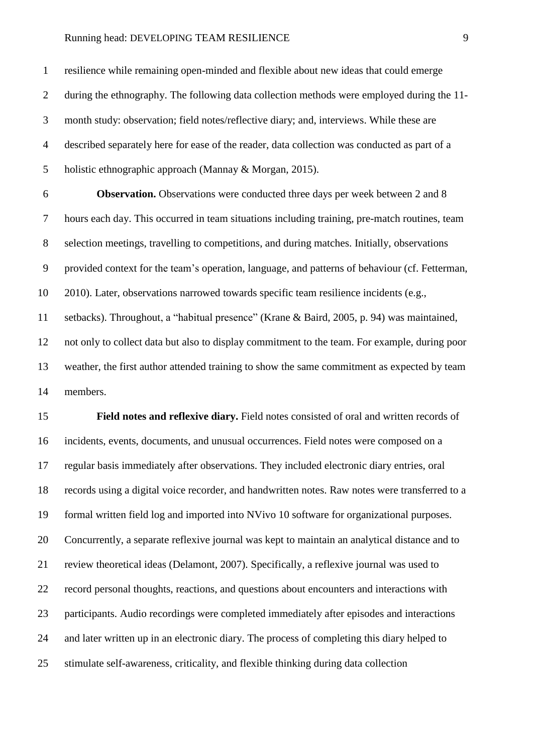resilience while remaining open-minded and flexible about new ideas that could emerge during the ethnography. The following data collection methods were employed during the 11- month study: observation; field notes/reflective diary; and, interviews. While these are described separately here for ease of the reader, data collection was conducted as part of a holistic ethnographic approach (Mannay & Morgan, 2015).

 **Observation.** Observations were conducted three days per week between 2 and 8 hours each day. This occurred in team situations including training, pre-match routines, team selection meetings, travelling to competitions, and during matches. Initially, observations provided context for the team's operation, language, and patterns of behaviour (cf. Fetterman, 2010). Later, observations narrowed towards specific team resilience incidents (e.g., setbacks). Throughout, a "habitual presence" (Krane & Baird, 2005, p. 94) was maintained, not only to collect data but also to display commitment to the team. For example, during poor weather, the first author attended training to show the same commitment as expected by team members.

 **Field notes and reflexive diary.** Field notes consisted of oral and written records of incidents, events, documents, and unusual occurrences. Field notes were composed on a regular basis immediately after observations. They included electronic diary entries, oral records using a digital voice recorder, and handwritten notes. Raw notes were transferred to a formal written field log and imported into NVivo 10 software for organizational purposes. Concurrently, a separate reflexive journal was kept to maintain an analytical distance and to review theoretical ideas (Delamont, 2007). Specifically, a reflexive journal was used to record personal thoughts, reactions, and questions about encounters and interactions with participants. Audio recordings were completed immediately after episodes and interactions and later written up in an electronic diary. The process of completing this diary helped to stimulate self-awareness, criticality, and flexible thinking during data collection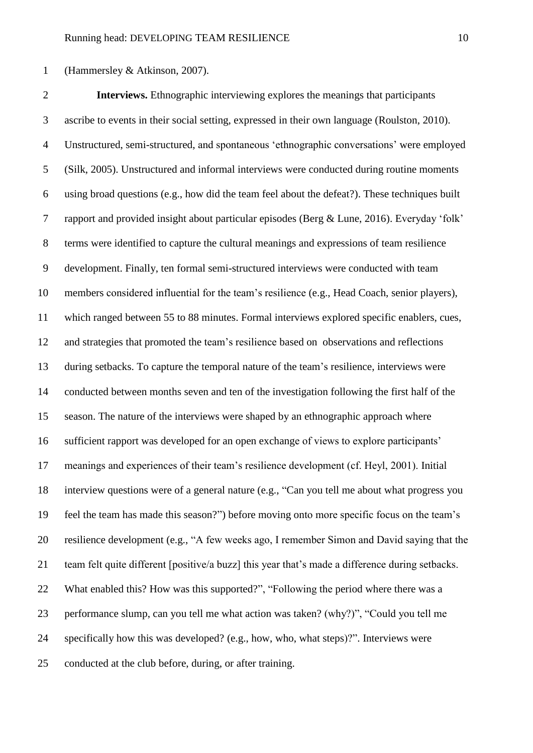(Hammersley & Atkinson, 2007).

 **Interviews.** Ethnographic interviewing explores the meanings that participants ascribe to events in their social setting, expressed in their own language (Roulston, 2010). Unstructured, semi-structured, and spontaneous 'ethnographic conversations' were employed (Silk, 2005). Unstructured and informal interviews were conducted during routine moments using broad questions (e.g., how did the team feel about the defeat?). These techniques built rapport and provided insight about particular episodes (Berg & Lune, 2016). Everyday 'folk' terms were identified to capture the cultural meanings and expressions of team resilience development. Finally, ten formal semi-structured interviews were conducted with team members considered influential for the team's resilience (e.g., Head Coach, senior players), which ranged between 55 to 88 minutes. Formal interviews explored specific enablers, cues, and strategies that promoted the team's resilience based on observations and reflections during setbacks. To capture the temporal nature of the team's resilience, interviews were conducted between months seven and ten of the investigation following the first half of the season. The nature of the interviews were shaped by an ethnographic approach where sufficient rapport was developed for an open exchange of views to explore participants' meanings and experiences of their team's resilience development (cf. Heyl, 2001). Initial interview questions were of a general nature (e.g., "Can you tell me about what progress you feel the team has made this season?") before moving onto more specific focus on the team's resilience development (e.g., "A few weeks ago, I remember Simon and David saying that the team felt quite different [positive/a buzz] this year that's made a difference during setbacks. What enabled this? How was this supported?", "Following the period where there was a performance slump, can you tell me what action was taken? (why?)", "Could you tell me specifically how this was developed? (e.g., how, who, what steps)?". Interviews were conducted at the club before, during, or after training.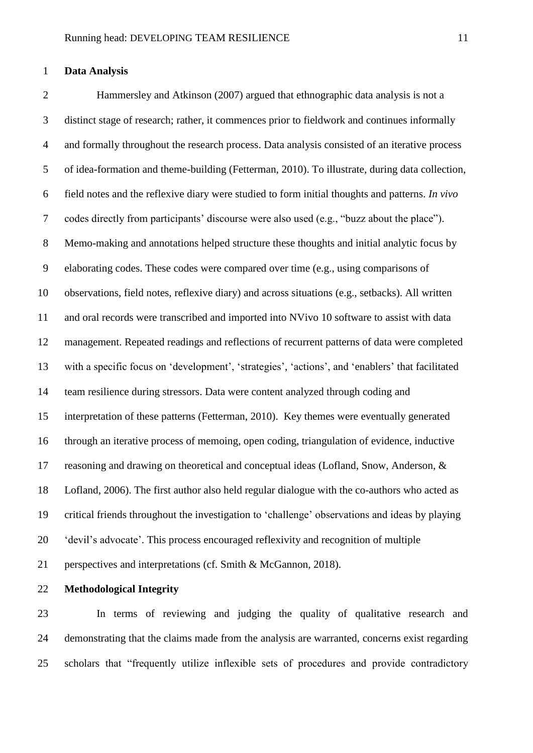#### **Data Analysis**

 Hammersley and Atkinson (2007) argued that ethnographic data analysis is not a distinct stage of research; rather, it commences prior to fieldwork and continues informally and formally throughout the research process. Data analysis consisted of an iterative process of idea-formation and theme-building (Fetterman, 2010). To illustrate, during data collection, field notes and the reflexive diary were studied to form initial thoughts and patterns. *In vivo* codes directly from participants' discourse were also used (e.g., "buzz about the place"). Memo-making and annotations helped structure these thoughts and initial analytic focus by elaborating codes. These codes were compared over time (e.g., using comparisons of observations, field notes, reflexive diary) and across situations (e.g., setbacks). All written and oral records were transcribed and imported into NVivo 10 software to assist with data management. Repeated readings and reflections of recurrent patterns of data were completed with a specific focus on 'development', 'strategies', 'actions', and 'enablers' that facilitated team resilience during stressors. Data were content analyzed through coding and interpretation of these patterns (Fetterman, 2010). Key themes were eventually generated through an iterative process of memoing, open coding, triangulation of evidence, inductive reasoning and drawing on theoretical and conceptual ideas (Lofland, Snow, Anderson, & Lofland, 2006). The first author also held regular dialogue with the co-authors who acted as critical friends throughout the investigation to 'challenge' observations and ideas by playing 'devil's advocate'. This process encouraged reflexivity and recognition of multiple perspectives and interpretations (cf. Smith & McGannon, 2018).

**Methodological Integrity**

 In terms of reviewing and judging the quality of qualitative research and demonstrating that the claims made from the analysis are warranted, concerns exist regarding scholars that "frequently utilize inflexible sets of procedures and provide contradictory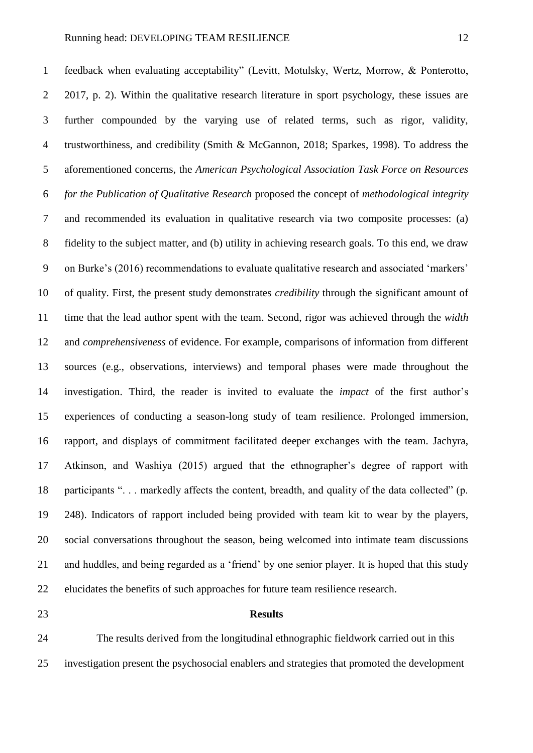feedback when evaluating acceptability" (Levitt, Motulsky, Wertz, Morrow, & Ponterotto, 2 2017, p. 2). Within the qualitative research literature in sport psychology, these issues are further compounded by the varying use of related terms, such as rigor, validity, trustworthiness, and credibility (Smith & McGannon, 2018; Sparkes, 1998). To address the aforementioned concerns, the *American Psychological Association Task Force on Resources for the Publication of Qualitative Research* proposed the concept of *methodological integrity* and recommended its evaluation in qualitative research via two composite processes: (a) fidelity to the subject matter, and (b) utility in achieving research goals. To this end, we draw on Burke's (2016) recommendations to evaluate qualitative research and associated 'markers' of quality. First, the present study demonstrates *credibility* through the significant amount of time that the lead author spent with the team. Second, rigor was achieved through the *width* and *comprehensiveness* of evidence. For example, comparisons of information from different sources (e.g., observations, interviews) and temporal phases were made throughout the investigation. Third, the reader is invited to evaluate the *impact* of the first author's experiences of conducting a season-long study of team resilience. Prolonged immersion, rapport, and displays of commitment facilitated deeper exchanges with the team. Jachyra, Atkinson, and Washiya (2015) argued that the ethnographer's degree of rapport with 18 participants "... markedly affects the content, breadth, and quality of the data collected" (p. 248). Indicators of rapport included being provided with team kit to wear by the players, social conversations throughout the season, being welcomed into intimate team discussions and huddles, and being regarded as a 'friend' by one senior player. It is hoped that this study elucidates the benefits of such approaches for future team resilience research.

#### **Results**

 The results derived from the longitudinal ethnographic fieldwork carried out in this investigation present the psychosocial enablers and strategies that promoted the development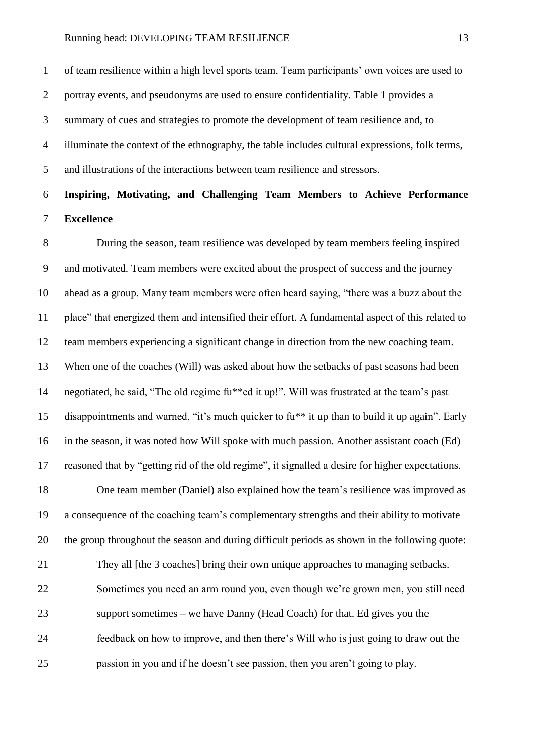of team resilience within a high level sports team. Team participants' own voices are used to 2 portray events, and pseudonyms are used to ensure confidentiality. Table 1 provides a summary of cues and strategies to promote the development of team resilience and, to illuminate the context of the ethnography, the table includes cultural expressions, folk terms, and illustrations of the interactions between team resilience and stressors.

# **Inspiring, Motivating, and Challenging Team Members to Achieve Performance Excellence**

 During the season, team resilience was developed by team members feeling inspired and motivated. Team members were excited about the prospect of success and the journey ahead as a group. Many team members were often heard saying, "there was a buzz about the place" that energized them and intensified their effort. A fundamental aspect of this related to team members experiencing a significant change in direction from the new coaching team. When one of the coaches (Will) was asked about how the setbacks of past seasons had been negotiated, he said, "The old regime fu\*\*ed it up!". Will was frustrated at the team's past disappointments and warned, "it's much quicker to fu\*\* it up than to build it up again". Early in the season, it was noted how Will spoke with much passion. Another assistant coach (Ed) reasoned that by "getting rid of the old regime", it signalled a desire for higher expectations. One team member (Daniel) also explained how the team's resilience was improved as a consequence of the coaching team's complementary strengths and their ability to motivate the group throughout the season and during difficult periods as shown in the following quote: They all [the 3 coaches] bring their own unique approaches to managing setbacks. Sometimes you need an arm round you, even though we're grown men, you still need support sometimes – we have Danny (Head Coach) for that. Ed gives you the feedback on how to improve, and then there's Will who is just going to draw out the passion in you and if he doesn't see passion, then you aren't going to play.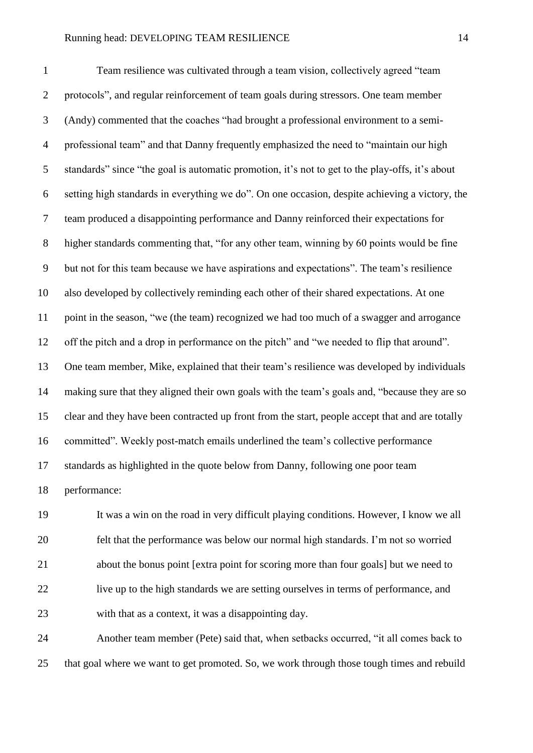Team resilience was cultivated through a team vision, collectively agreed "team 2 protocols", and regular reinforcement of team goals during stressors. One team member (Andy) commented that the coaches "had brought a professional environment to a semi- professional team" and that Danny frequently emphasized the need to "maintain our high standards" since "the goal is automatic promotion, it's not to get to the play-offs, it's about setting high standards in everything we do". On one occasion, despite achieving a victory, the team produced a disappointing performance and Danny reinforced their expectations for higher standards commenting that, "for any other team, winning by 60 points would be fine but not for this team because we have aspirations and expectations". The team's resilience also developed by collectively reminding each other of their shared expectations. At one point in the season, "we (the team) recognized we had too much of a swagger and arrogance off the pitch and a drop in performance on the pitch" and "we needed to flip that around". One team member, Mike, explained that their team's resilience was developed by individuals making sure that they aligned their own goals with the team's goals and, "because they are so clear and they have been contracted up front from the start, people accept that and are totally committed". Weekly post-match emails underlined the team's collective performance standards as highlighted in the quote below from Danny, following one poor team performance:

 It was a win on the road in very difficult playing conditions. However, I know we all felt that the performance was below our normal high standards. I'm not so worried about the bonus point [extra point for scoring more than four goals] but we need to live up to the high standards we are setting ourselves in terms of performance, and with that as a context, it was a disappointing day. Another team member (Pete) said that, when setbacks occurred, "it all comes back to

that goal where we want to get promoted. So, we work through those tough times and rebuild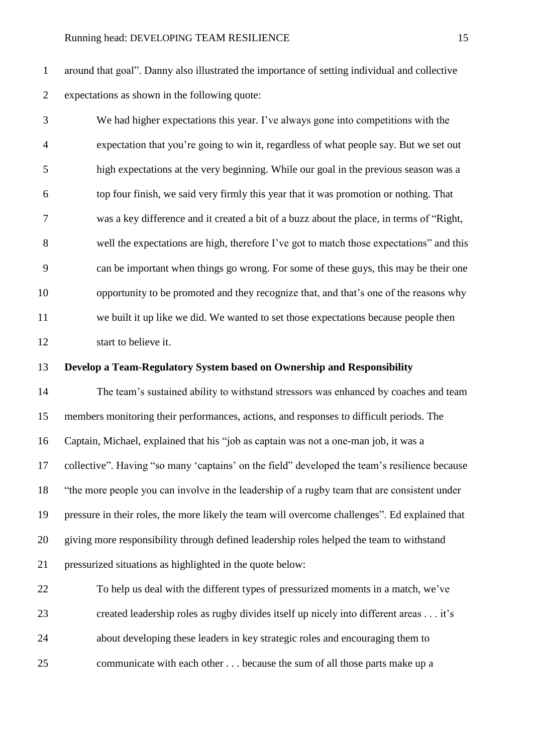around that goal". Danny also illustrated the importance of setting individual and collective expectations as shown in the following quote:

 We had higher expectations this year. I've always gone into competitions with the expectation that you're going to win it, regardless of what people say. But we set out high expectations at the very beginning. While our goal in the previous season was a top four finish, we said very firmly this year that it was promotion or nothing. That was a key difference and it created a bit of a buzz about the place, in terms of "Right, well the expectations are high, therefore I've got to match those expectations" and this can be important when things go wrong. For some of these guys, this may be their one opportunity to be promoted and they recognize that, and that's one of the reasons why we built it up like we did. We wanted to set those expectations because people then start to believe it.

## **Develop a Team-Regulatory System based on Ownership and Responsibility**

 The team's sustained ability to withstand stressors was enhanced by coaches and team members monitoring their performances, actions, and responses to difficult periods. The Captain, Michael, explained that his "job as captain was not a one-man job, it was a collective". Having "so many 'captains' on the field" developed the team's resilience because "the more people you can involve in the leadership of a rugby team that are consistent under pressure in their roles, the more likely the team will overcome challenges". Ed explained that giving more responsibility through defined leadership roles helped the team to withstand pressurized situations as highlighted in the quote below:

 To help us deal with the different types of pressurized moments in a match, we've created leadership roles as rugby divides itself up nicely into different areas . . . it's about developing these leaders in key strategic roles and encouraging them to communicate with each other . . . because the sum of all those parts make up a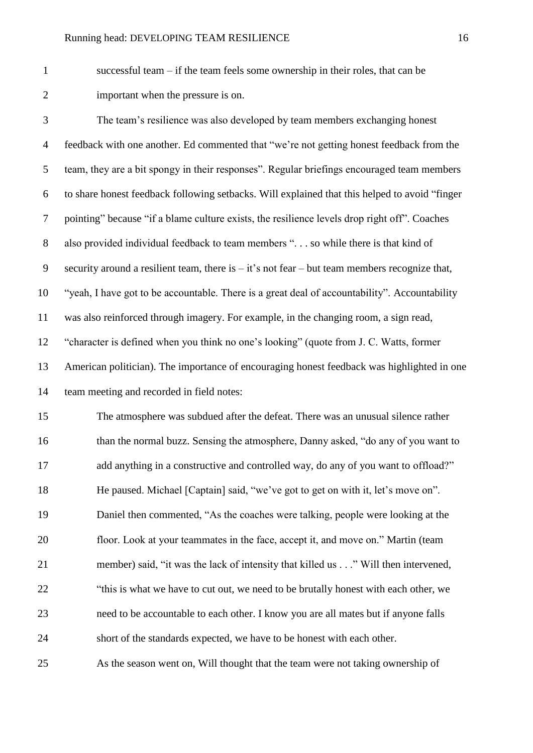successful team – if the team feels some ownership in their roles, that can be important when the pressure is on.

 The team's resilience was also developed by team members exchanging honest feedback with one another. Ed commented that "we're not getting honest feedback from the team, they are a bit spongy in their responses". Regular briefings encouraged team members to share honest feedback following setbacks. Will explained that this helped to avoid "finger pointing" because "if a blame culture exists, the resilience levels drop right off". Coaches also provided individual feedback to team members ". . . so while there is that kind of 9 security around a resilient team, there is  $-$  it's not fear  $-$  but team members recognize that, "yeah, I have got to be accountable. There is a great deal of accountability". Accountability was also reinforced through imagery. For example, in the changing room, a sign read, "character is defined when you think no one's looking" (quote from J. C. Watts, former American politician). The importance of encouraging honest feedback was highlighted in one team meeting and recorded in field notes:

 The atmosphere was subdued after the defeat. There was an unusual silence rather 16 than the normal buzz. Sensing the atmosphere, Danny asked, "do any of you want to 17 add anything in a constructive and controlled way, do any of you want to offload?" He paused. Michael [Captain] said, "we've got to get on with it, let's move on". Daniel then commented, "As the coaches were talking, people were looking at the floor. Look at your teammates in the face, accept it, and move on." Martin (team member) said, "it was the lack of intensity that killed us . . ." Will then intervened, "this is what we have to cut out, we need to be brutally honest with each other, we need to be accountable to each other. I know you are all mates but if anyone falls short of the standards expected, we have to be honest with each other. As the season went on, Will thought that the team were not taking ownership of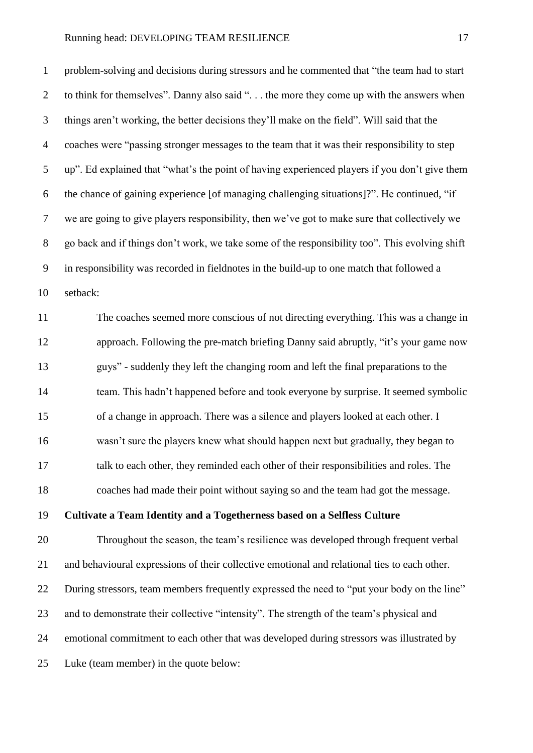problem-solving and decisions during stressors and he commented that "the team had to start 2 to think for themselves". Danny also said "... the more they come up with the answers when things aren't working, the better decisions they'll make on the field". Will said that the coaches were "passing stronger messages to the team that it was their responsibility to step up". Ed explained that "what's the point of having experienced players if you don't give them the chance of gaining experience [of managing challenging situations]?". He continued, "if we are going to give players responsibility, then we've got to make sure that collectively we go back and if things don't work, we take some of the responsibility too". This evolving shift in responsibility was recorded in fieldnotes in the build-up to one match that followed a setback: The coaches seemed more conscious of not directing everything. This was a change in approach. Following the pre-match briefing Danny said abruptly, "it's your game now guys" - suddenly they left the changing room and left the final preparations to the team. This hadn't happened before and took everyone by surprise. It seemed symbolic of a change in approach. There was a silence and players looked at each other. I wasn't sure the players knew what should happen next but gradually, they began to talk to each other, they reminded each other of their responsibilities and roles. The coaches had made their point without saying so and the team had got the message. **Cultivate a Team Identity and a Togetherness based on a Selfless Culture** Throughout the season, the team's resilience was developed through frequent verbal and behavioural expressions of their collective emotional and relational ties to each other. 22 During stressors, team members frequently expressed the need to "put your body on the line" and to demonstrate their collective "intensity". The strength of the team's physical and emotional commitment to each other that was developed during stressors was illustrated by Luke (team member) in the quote below: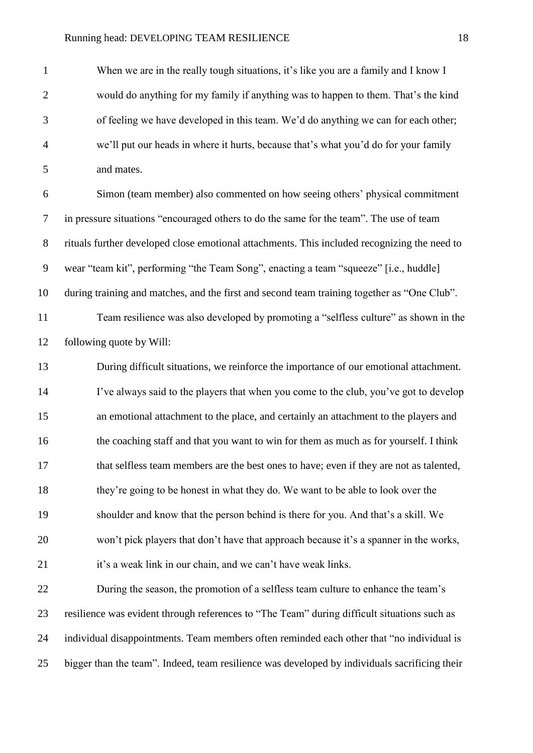When we are in the really tough situations, it's like you are a family and I know I would do anything for my family if anything was to happen to them. That's the kind of feeling we have developed in this team. We'd do anything we can for each other; we'll put our heads in where it hurts, because that's what you'd do for your family and mates.

 Simon (team member) also commented on how seeing others' physical commitment in pressure situations "encouraged others to do the same for the team". The use of team rituals further developed close emotional attachments. This included recognizing the need to wear "team kit", performing "the Team Song", enacting a team "squeeze" [i.e., huddle] during training and matches, and the first and second team training together as "One Club".

 Team resilience was also developed by promoting a "selfless culture" as shown in the following quote by Will:

 During difficult situations, we reinforce the importance of our emotional attachment. I've always said to the players that when you come to the club, you've got to develop an emotional attachment to the place, and certainly an attachment to the players and 16 the coaching staff and that you want to win for them as much as for yourself. I think that selfless team members are the best ones to have; even if they are not as talented, they're going to be honest in what they do. We want to be able to look over the shoulder and know that the person behind is there for you. And that's a skill. We won't pick players that don't have that approach because it's a spanner in the works, 21 it's a weak link in our chain, and we can't have weak links. During the season, the promotion of a selfless team culture to enhance the team's resilience was evident through references to "The Team" during difficult situations such as individual disappointments. Team members often reminded each other that "no individual is

bigger than the team". Indeed, team resilience was developed by individuals sacrificing their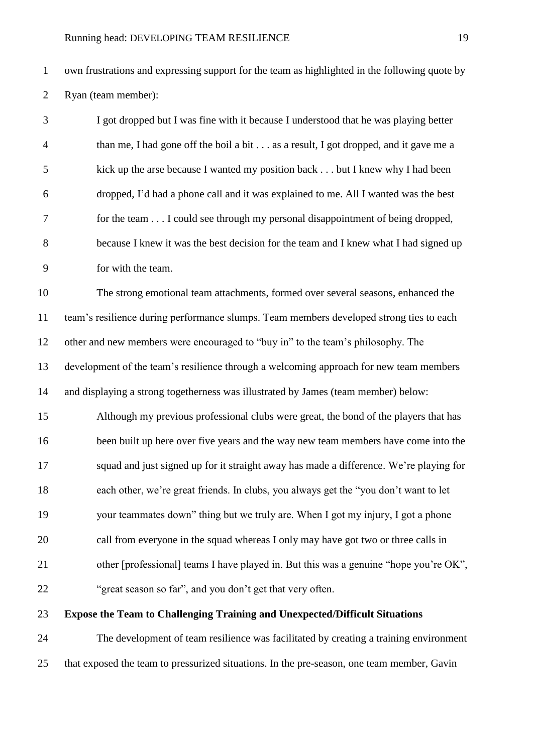own frustrations and expressing support for the team as highlighted in the following quote by Ryan (team member):

 I got dropped but I was fine with it because I understood that he was playing better than me, I had gone off the boil a bit . . . as a result, I got dropped, and it gave me a kick up the arse because I wanted my position back . . . but I knew why I had been dropped, I'd had a phone call and it was explained to me. All I wanted was the best for the team . . . I could see through my personal disappointment of being dropped, because I knew it was the best decision for the team and I knew what I had signed up for with the team.

 The strong emotional team attachments, formed over several seasons, enhanced the team's resilience during performance slumps. Team members developed strong ties to each other and new members were encouraged to "buy in" to the team's philosophy. The development of the team's resilience through a welcoming approach for new team members and displaying a strong togetherness was illustrated by James (team member) below:

 Although my previous professional clubs were great, the bond of the players that has been built up here over five years and the way new team members have come into the squad and just signed up for it straight away has made a difference. We're playing for each other, we're great friends. In clubs, you always get the "you don't want to let your teammates down" thing but we truly are. When I got my injury, I got a phone call from everyone in the squad whereas I only may have got two or three calls in 21 other [professional] teams I have played in. But this was a genuine "hope you're OK", "great season so far", and you don't get that very often.

**Expose the Team to Challenging Training and Unexpected/Difficult Situations**

 The development of team resilience was facilitated by creating a training environment that exposed the team to pressurized situations. In the pre-season, one team member, Gavin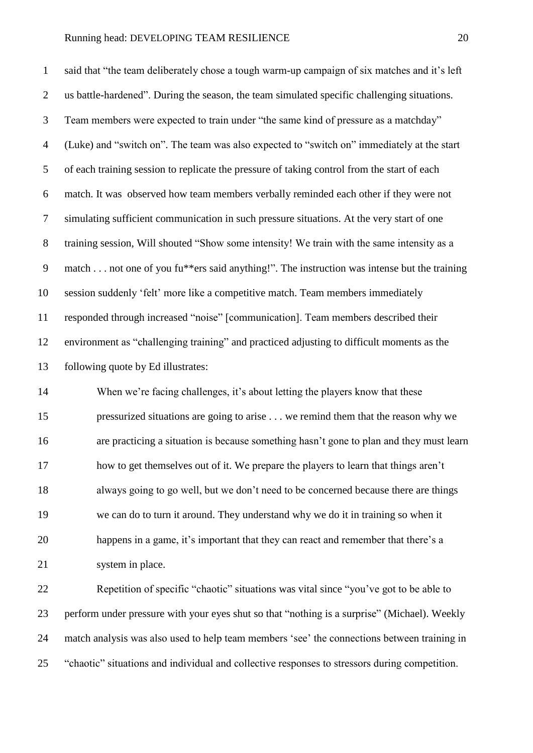said that "the team deliberately chose a tough warm-up campaign of six matches and it's left us battle-hardened". During the season, the team simulated specific challenging situations. Team members were expected to train under "the same kind of pressure as a matchday" (Luke) and "switch on". The team was also expected to "switch on" immediately at the start of each training session to replicate the pressure of taking control from the start of each match. It was observed how team members verbally reminded each other if they were not simulating sufficient communication in such pressure situations. At the very start of one training session, Will shouted "Show some intensity! We train with the same intensity as a match . . . not one of you fu\*\*ers said anything!". The instruction was intense but the training session suddenly 'felt' more like a competitive match. Team members immediately responded through increased "noise" [communication]. Team members described their environment as "challenging training" and practiced adjusting to difficult moments as the following quote by Ed illustrates: When we're facing challenges, it's about letting the players know that these pressurized situations are going to arise . . . we remind them that the reason why we are practicing a situation is because something hasn't gone to plan and they must learn

 how to get themselves out of it. We prepare the players to learn that things aren't always going to go well, but we don't need to be concerned because there are things we can do to turn it around. They understand why we do it in training so when it happens in a game, it's important that they can react and remember that there's a

system in place.

 Repetition of specific "chaotic" situations was vital since "you've got to be able to perform under pressure with your eyes shut so that "nothing is a surprise" (Michael). Weekly match analysis was also used to help team members 'see' the connections between training in "chaotic" situations and individual and collective responses to stressors during competition.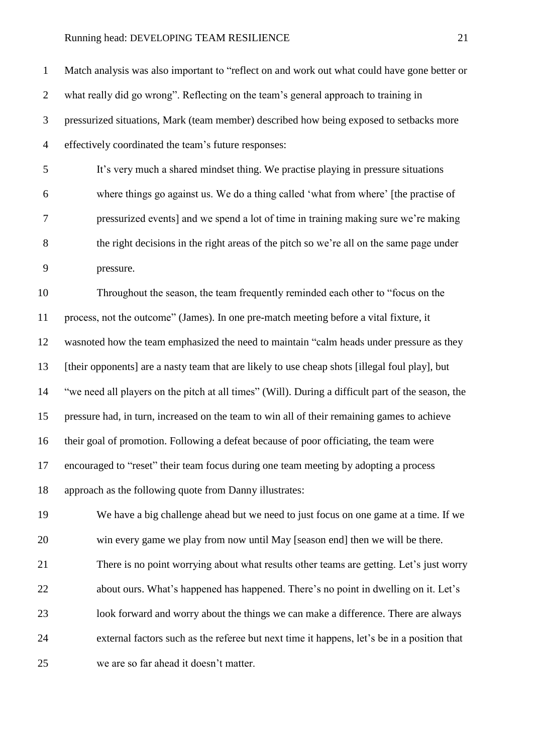Match analysis was also important to "reflect on and work out what could have gone better or what really did go wrong". Reflecting on the team's general approach to training in pressurized situations, Mark (team member) described how being exposed to setbacks more effectively coordinated the team's future responses:

 It's very much a shared mindset thing. We practise playing in pressure situations where things go against us. We do a thing called 'what from where' [the practise of pressurized events] and we spend a lot of time in training making sure we're making the right decisions in the right areas of the pitch so we're all on the same page under pressure.

 Throughout the season, the team frequently reminded each other to "focus on the process, not the outcome" (James). In one pre-match meeting before a vital fixture, it wasnoted how the team emphasized the need to maintain "calm heads under pressure as they [their opponents] are a nasty team that are likely to use cheap shots [illegal foul play], but "we need all players on the pitch at all times" (Will). During a difficult part of the season, the pressure had, in turn, increased on the team to win all of their remaining games to achieve their goal of promotion. Following a defeat because of poor officiating, the team were encouraged to "reset" their team focus during one team meeting by adopting a process approach as the following quote from Danny illustrates:

 We have a big challenge ahead but we need to just focus on one game at a time. If we win every game we play from now until May [season end] then we will be there. There is no point worrying about what results other teams are getting. Let's just worry about ours. What's happened has happened. There's no point in dwelling on it. Let's look forward and worry about the things we can make a difference. There are always external factors such as the referee but next time it happens, let's be in a position that we are so far ahead it doesn't matter.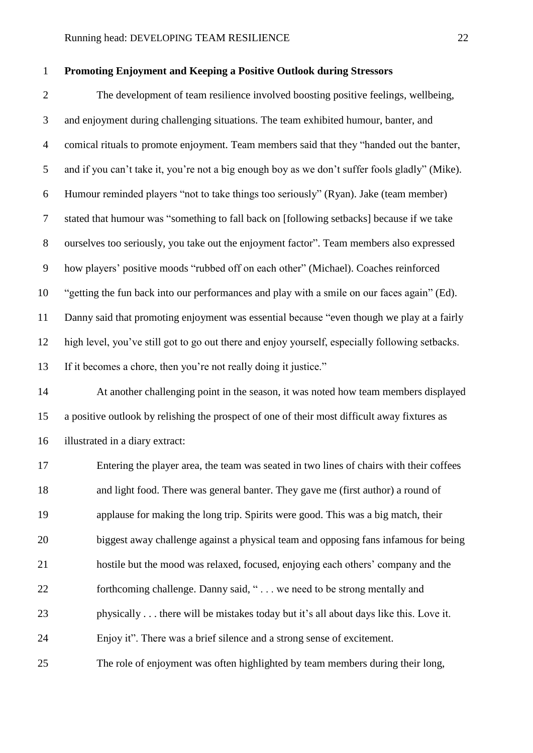### **Promoting Enjoyment and Keeping a Positive Outlook during Stressors**

 The development of team resilience involved boosting positive feelings, wellbeing, and enjoyment during challenging situations. The team exhibited humour, banter, and comical rituals to promote enjoyment. Team members said that they "handed out the banter, and if you can't take it, you're not a big enough boy as we don't suffer fools gladly" (Mike). Humour reminded players "not to take things too seriously" (Ryan). Jake (team member) stated that humour was "something to fall back on [following setbacks] because if we take ourselves too seriously, you take out the enjoyment factor". Team members also expressed how players' positive moods "rubbed off on each other" (Michael). Coaches reinforced "getting the fun back into our performances and play with a smile on our faces again" (Ed). Danny said that promoting enjoyment was essential because "even though we play at a fairly high level, you've still got to go out there and enjoy yourself, especially following setbacks. If it becomes a chore, then you're not really doing it justice."

 At another challenging point in the season, it was noted how team members displayed a positive outlook by relishing the prospect of one of their most difficult away fixtures as illustrated in a diary extract:

 Entering the player area, the team was seated in two lines of chairs with their coffees and light food. There was general banter. They gave me (first author) a round of applause for making the long trip. Spirits were good. This was a big match, their biggest away challenge against a physical team and opposing fans infamous for being hostile but the mood was relaxed, focused, enjoying each others' company and the forthcoming challenge. Danny said, " . . . we need to be strong mentally and physically . . . there will be mistakes today but it's all about days like this. Love it. Enjoy it". There was a brief silence and a strong sense of excitement. The role of enjoyment was often highlighted by team members during their long,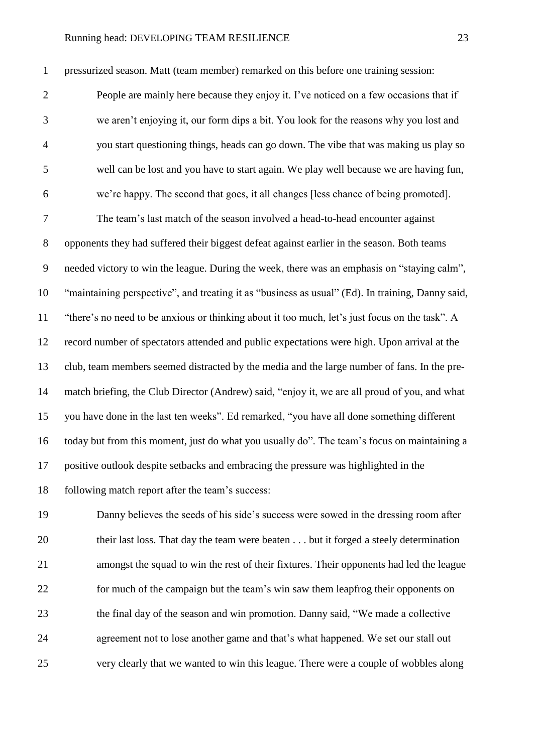pressurized season. Matt (team member) remarked on this before one training session: People are mainly here because they enjoy it. I've noticed on a few occasions that if we aren't enjoying it, our form dips a bit. You look for the reasons why you lost and you start questioning things, heads can go down. The vibe that was making us play so well can be lost and you have to start again. We play well because we are having fun, we're happy. The second that goes, it all changes [less chance of being promoted]. The team's last match of the season involved a head-to-head encounter against opponents they had suffered their biggest defeat against earlier in the season. Both teams needed victory to win the league. During the week, there was an emphasis on "staying calm", "maintaining perspective", and treating it as "business as usual" (Ed). In training, Danny said, "there's no need to be anxious or thinking about it too much, let's just focus on the task". A record number of spectators attended and public expectations were high. Upon arrival at the club, team members seemed distracted by the media and the large number of fans. In the pre- match briefing, the Club Director (Andrew) said, "enjoy it, we are all proud of you, and what you have done in the last ten weeks". Ed remarked, "you have all done something different today but from this moment, just do what you usually do". The team's focus on maintaining a positive outlook despite setbacks and embracing the pressure was highlighted in the following match report after the team's success: Danny believes the seeds of his side's success were sowed in the dressing room after their last loss. That day the team were beaten . . . but it forged a steely determination amongst the squad to win the rest of their fixtures. Their opponents had led the league

 for much of the campaign but the team's win saw them leapfrog their opponents on the final day of the season and win promotion. Danny said, "We made a collective agreement not to lose another game and that's what happened. We set our stall out very clearly that we wanted to win this league. There were a couple of wobbles along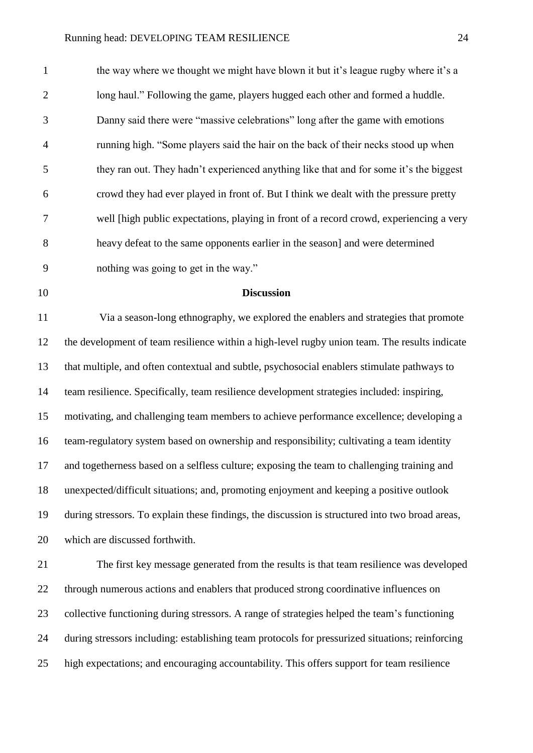| $\mathbf{1}$   | the way where we thought we might have blown it but it's league rugby where it's a      |
|----------------|-----------------------------------------------------------------------------------------|
| 2              | long haul." Following the game, players hugged each other and formed a huddle.          |
| 3              | Danny said there were "massive celebrations" long after the game with emotions          |
| $\overline{4}$ | running high. "Some players said the hair on the back of their necks stood up when      |
| 5              | they ran out. They hadn't experienced anything like that and for some it's the biggest  |
| 6              | crowd they had ever played in front of. But I think we dealt with the pressure pretty   |
| $\overline{7}$ | well [high public expectations, playing in front of a record crowd, experiencing a very |
| 8              | heavy defeat to the same opponents earlier in the season] and were determined           |
| 9              | nothing was going to get in the way."                                                   |

#### **Discussion**

 Via a season-long ethnography, we explored the enablers and strategies that promote the development of team resilience within a high-level rugby union team. The results indicate that multiple, and often contextual and subtle, psychosocial enablers stimulate pathways to team resilience. Specifically, team resilience development strategies included: inspiring, motivating, and challenging team members to achieve performance excellence; developing a team-regulatory system based on ownership and responsibility; cultivating a team identity and togetherness based on a selfless culture; exposing the team to challenging training and unexpected/difficult situations; and, promoting enjoyment and keeping a positive outlook during stressors. To explain these findings, the discussion is structured into two broad areas, which are discussed forthwith.

 The first key message generated from the results is that team resilience was developed 22 through numerous actions and enablers that produced strong coordinative influences on collective functioning during stressors. A range of strategies helped the team's functioning during stressors including: establishing team protocols for pressurized situations; reinforcing high expectations; and encouraging accountability. This offers support for team resilience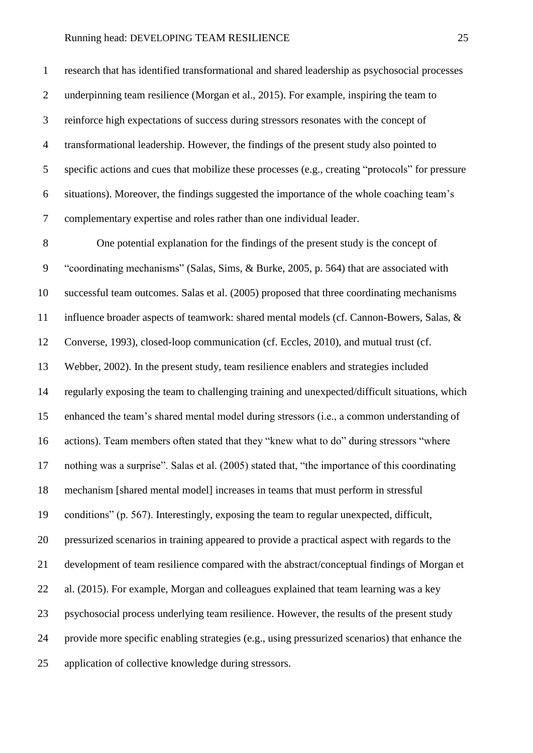research that has identified transformational and shared leadership as psychosocial processes underpinning team resilience (Morgan et al., 2015). For example, inspiring the team to reinforce high expectations of success during stressors resonates with the concept of transformational leadership. However, the findings of the present study also pointed to specific actions and cues that mobilize these processes (e.g., creating "protocols" for pressure situations). Moreover, the findings suggested the importance of the whole coaching team's complementary expertise and roles rather than one individual leader.

 One potential explanation for the findings of the present study is the concept of "coordinating mechanisms" (Salas, Sims, & Burke, 2005, p. 564) that are associated with successful team outcomes. Salas et al. (2005) proposed that three coordinating mechanisms influence broader aspects of teamwork: shared mental models (cf. Cannon-Bowers, Salas, & Converse, 1993), closed-loop communication (cf. Eccles, 2010), and mutual trust (cf. Webber, 2002). In the present study, team resilience enablers and strategies included regularly exposing the team to challenging training and unexpected/difficult situations, which enhanced the team's shared mental model during stressors (i.e., a common understanding of actions). Team members often stated that they "knew what to do" during stressors "where nothing was a surprise". Salas et al. (2005) stated that, "the importance of this coordinating mechanism [shared mental model] increases in teams that must perform in stressful conditions" (p. 567). Interestingly, exposing the team to regular unexpected, difficult, pressurized scenarios in training appeared to provide a practical aspect with regards to the development of team resilience compared with the abstract/conceptual findings of Morgan et al. (2015). For example, Morgan and colleagues explained that team learning was a key psychosocial process underlying team resilience. However, the results of the present study provide more specific enabling strategies (e.g., using pressurized scenarios) that enhance the application of collective knowledge during stressors.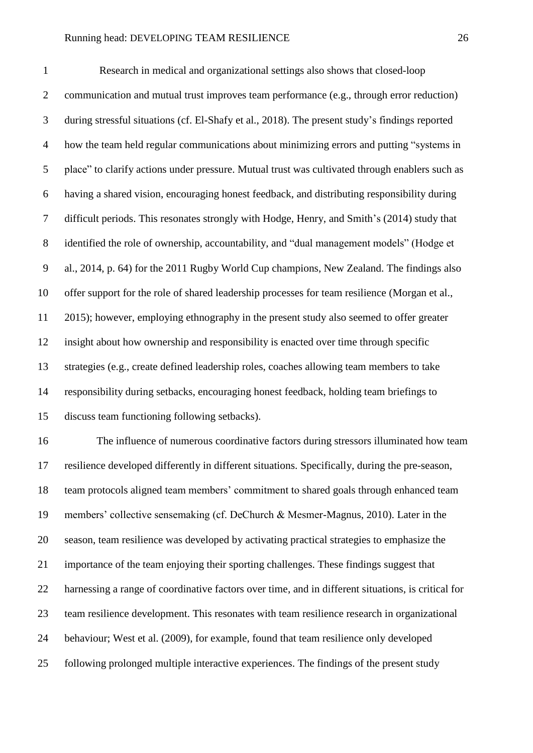Research in medical and organizational settings also shows that closed-loop communication and mutual trust improves team performance (e.g., through error reduction) during stressful situations (cf. El-Shafy et al., 2018). The present study's findings reported how the team held regular communications about minimizing errors and putting "systems in place" to clarify actions under pressure. Mutual trust was cultivated through enablers such as having a shared vision, encouraging honest feedback, and distributing responsibility during difficult periods. This resonates strongly with Hodge, Henry, and Smith's (2014) study that identified the role of ownership, accountability, and "dual management models" (Hodge et al., 2014, p. 64) for the 2011 Rugby World Cup champions, New Zealand. The findings also offer support for the role of shared leadership processes for team resilience (Morgan et al., 2015); however, employing ethnography in the present study also seemed to offer greater insight about how ownership and responsibility is enacted over time through specific strategies (e.g., create defined leadership roles, coaches allowing team members to take responsibility during setbacks, encouraging honest feedback, holding team briefings to discuss team functioning following setbacks).

 The influence of numerous coordinative factors during stressors illuminated how team resilience developed differently in different situations. Specifically, during the pre-season, team protocols aligned team members' commitment to shared goals through enhanced team members' collective sensemaking (cf. DeChurch & Mesmer-Magnus, 2010). Later in the season, team resilience was developed by activating practical strategies to emphasize the importance of the team enjoying their sporting challenges. These findings suggest that harnessing a range of coordinative factors over time, and in different situations, is critical for team resilience development. This resonates with team resilience research in organizational behaviour; West et al. (2009), for example, found that team resilience only developed following prolonged multiple interactive experiences. The findings of the present study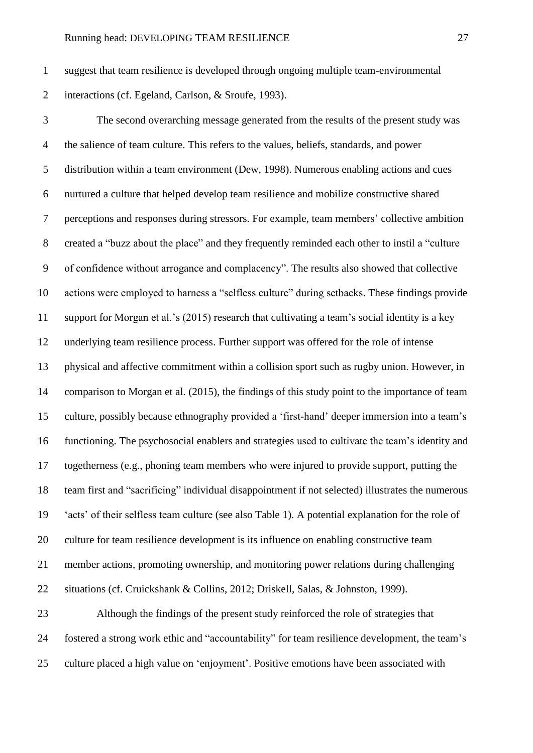suggest that team resilience is developed through ongoing multiple team-environmental interactions (cf. Egeland, Carlson, & Sroufe, 1993).

 The second overarching message generated from the results of the present study was the salience of team culture. This refers to the values, beliefs, standards, and power distribution within a team environment (Dew, 1998). Numerous enabling actions and cues nurtured a culture that helped develop team resilience and mobilize constructive shared perceptions and responses during stressors. For example, team members' collective ambition created a "buzz about the place" and they frequently reminded each other to instil a "culture of confidence without arrogance and complacency". The results also showed that collective actions were employed to harness a "selfless culture" during setbacks. These findings provide support for Morgan et al.'s (2015) research that cultivating a team's social identity is a key underlying team resilience process. Further support was offered for the role of intense physical and affective commitment within a collision sport such as rugby union. However, in comparison to Morgan et al. (2015), the findings of this study point to the importance of team culture, possibly because ethnography provided a 'first-hand' deeper immersion into a team's functioning. The psychosocial enablers and strategies used to cultivate the team's identity and togetherness (e.g., phoning team members who were injured to provide support, putting the team first and "sacrificing" individual disappointment if not selected) illustrates the numerous 'acts' of their selfless team culture (see also Table 1). A potential explanation for the role of culture for team resilience development is its influence on enabling constructive team member actions, promoting ownership, and monitoring power relations during challenging situations (cf. Cruickshank & Collins, 2012; Driskell, Salas, & Johnston, 1999). Although the findings of the present study reinforced the role of strategies that fostered a strong work ethic and "accountability" for team resilience development, the team's

culture placed a high value on 'enjoyment'. Positive emotions have been associated with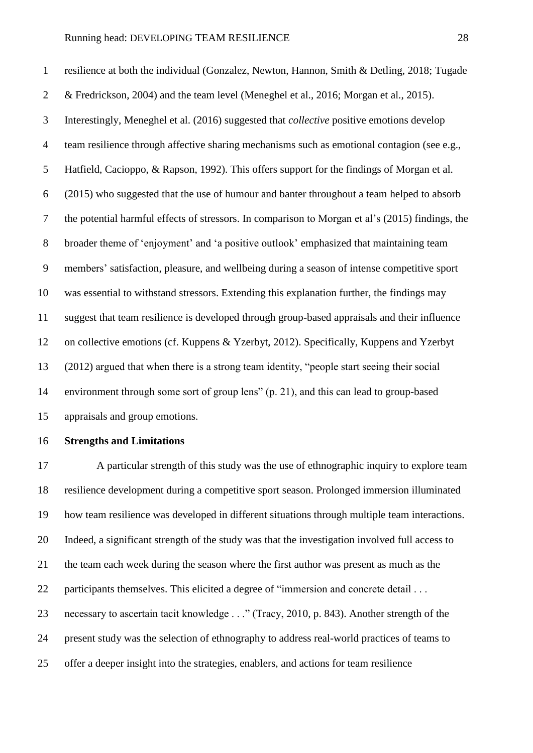resilience at both the individual (Gonzalez, Newton, Hannon, Smith & Detling, 2018; Tugade & Fredrickson, 2004) and the team level (Meneghel et al., 2016; Morgan et al., 2015). Interestingly, Meneghel et al. (2016) suggested that *collective* positive emotions develop team resilience through affective sharing mechanisms such as emotional contagion (see e.g., Hatfield, Cacioppo, & Rapson, 1992). This offers support for the findings of Morgan et al. (2015) who suggested that the use of humour and banter throughout a team helped to absorb the potential harmful effects of stressors. In comparison to Morgan et al's (2015) findings, the broader theme of 'enjoyment' and 'a positive outlook' emphasized that maintaining team members' satisfaction, pleasure, and wellbeing during a season of intense competitive sport was essential to withstand stressors. Extending this explanation further, the findings may suggest that team resilience is developed through group-based appraisals and their influence on collective emotions (cf. Kuppens & Yzerbyt, 2012). Specifically, Kuppens and Yzerbyt (2012) argued that when there is a strong team identity, "people start seeing their social environment through some sort of group lens" (p. 21), and this can lead to group-based appraisals and group emotions.

#### **Strengths and Limitations**

 A particular strength of this study was the use of ethnographic inquiry to explore team resilience development during a competitive sport season. Prolonged immersion illuminated how team resilience was developed in different situations through multiple team interactions. Indeed, a significant strength of the study was that the investigation involved full access to the team each week during the season where the first author was present as much as the 22 participants themselves. This elicited a degree of "immersion and concrete detail ... necessary to ascertain tacit knowledge . . ." (Tracy, 2010, p. 843). Another strength of the present study was the selection of ethnography to address real-world practices of teams to offer a deeper insight into the strategies, enablers, and actions for team resilience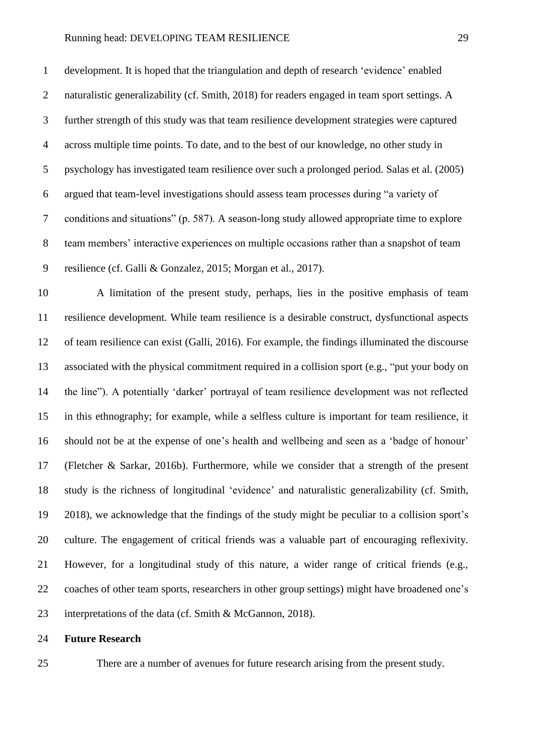development. It is hoped that the triangulation and depth of research 'evidence' enabled 2 naturalistic generalizability (cf. Smith, 2018) for readers engaged in team sport settings. A further strength of this study was that team resilience development strategies were captured across multiple time points. To date, and to the best of our knowledge, no other study in psychology has investigated team resilience over such a prolonged period. Salas et al. (2005) argued that team-level investigations should assess team processes during "a variety of conditions and situations" (p. 587). A season-long study allowed appropriate time to explore team members' interactive experiences on multiple occasions rather than a snapshot of team resilience (cf. Galli & Gonzalez, 2015; Morgan et al., 2017).

 A limitation of the present study, perhaps, lies in the positive emphasis of team resilience development. While team resilience is a desirable construct, dysfunctional aspects of team resilience can exist (Galli, 2016). For example, the findings illuminated the discourse associated with the physical commitment required in a collision sport (e.g., "put your body on the line"). A potentially 'darker' portrayal of team resilience development was not reflected in this ethnography; for example, while a selfless culture is important for team resilience, it should not be at the expense of one's health and wellbeing and seen as a 'badge of honour' (Fletcher & Sarkar, 2016b). Furthermore, while we consider that a strength of the present study is the richness of longitudinal 'evidence' and naturalistic generalizability (cf. Smith, 2018), we acknowledge that the findings of the study might be peculiar to a collision sport's culture. The engagement of critical friends was a valuable part of encouraging reflexivity. However, for a longitudinal study of this nature, a wider range of critical friends (e.g., coaches of other team sports, researchers in other group settings) might have broadened one's interpretations of the data (cf. Smith & McGannon, 2018).

#### **Future Research**

There are a number of avenues for future research arising from the present study.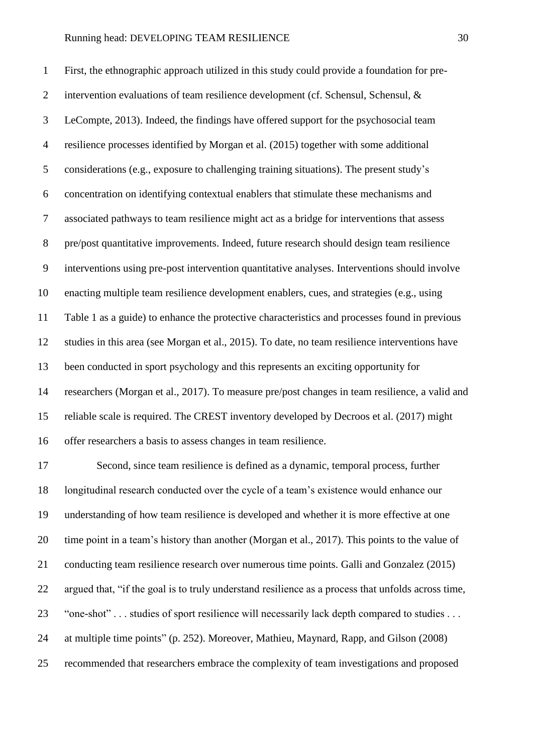First, the ethnographic approach utilized in this study could provide a foundation for pre- intervention evaluations of team resilience development (cf. Schensul, Schensul, & LeCompte, 2013). Indeed, the findings have offered support for the psychosocial team resilience processes identified by Morgan et al. (2015) together with some additional considerations (e.g., exposure to challenging training situations). The present study's concentration on identifying contextual enablers that stimulate these mechanisms and associated pathways to team resilience might act as a bridge for interventions that assess pre/post quantitative improvements. Indeed, future research should design team resilience interventions using pre-post intervention quantitative analyses. Interventions should involve enacting multiple team resilience development enablers, cues, and strategies (e.g., using Table 1 as a guide) to enhance the protective characteristics and processes found in previous studies in this area (see Morgan et al., 2015). To date, no team resilience interventions have been conducted in sport psychology and this represents an exciting opportunity for researchers (Morgan et al., 2017). To measure pre/post changes in team resilience, a valid and reliable scale is required. The CREST inventory developed by Decroos et al. (2017) might offer researchers a basis to assess changes in team resilience.

 Second, since team resilience is defined as a dynamic, temporal process, further longitudinal research conducted over the cycle of a team's existence would enhance our understanding of how team resilience is developed and whether it is more effective at one time point in a team's history than another (Morgan et al., 2017). This points to the value of conducting team resilience research over numerous time points. Galli and Gonzalez (2015) argued that, "if the goal is to truly understand resilience as a process that unfolds across time, "one-shot" . . . studies of sport resilience will necessarily lack depth compared to studies . . . at multiple time points" (p. 252). Moreover, Mathieu, Maynard, Rapp, and Gilson (2008) recommended that researchers embrace the complexity of team investigations and proposed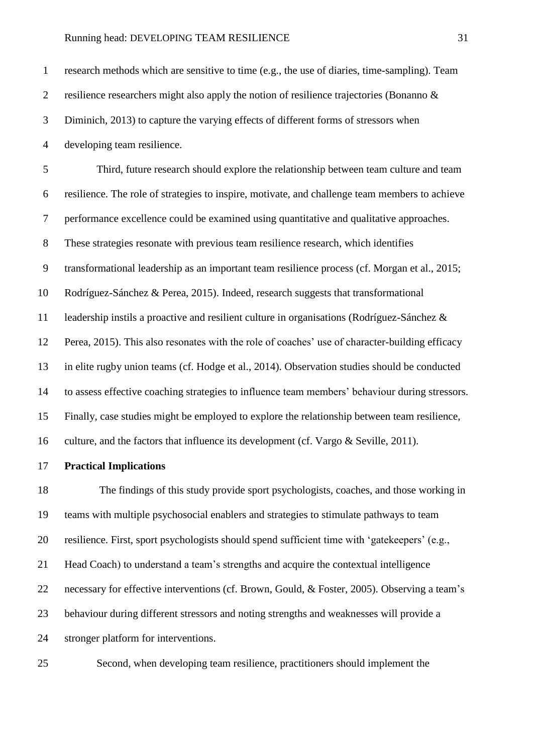research methods which are sensitive to time (e.g., the use of diaries, time-sampling). Team 2 resilience researchers might also apply the notion of resilience trajectories (Bonanno & Diminich, 2013) to capture the varying effects of different forms of stressors when developing team resilience.

 Third, future research should explore the relationship between team culture and team resilience. The role of strategies to inspire, motivate, and challenge team members to achieve performance excellence could be examined using quantitative and qualitative approaches. These strategies resonate with previous team resilience research, which identifies transformational leadership as an important team resilience process (cf. Morgan et al., 2015; Rodríguez-Sánchez & Perea, 2015). Indeed, research suggests that transformational leadership instils a proactive and resilient culture in organisations (Rodríguez-Sánchez & Perea, 2015). This also resonates with the role of coaches' use of character-building efficacy in elite rugby union teams (cf. Hodge et al., 2014). Observation studies should be conducted to assess effective coaching strategies to influence team members' behaviour during stressors. Finally, case studies might be employed to explore the relationship between team resilience, culture, and the factors that influence its development (cf. Vargo & Seville, 2011).

**Practical Implications**

 The findings of this study provide sport psychologists, coaches, and those working in teams with multiple psychosocial enablers and strategies to stimulate pathways to team resilience. First, sport psychologists should spend sufficient time with 'gatekeepers' (e.g., Head Coach) to understand a team's strengths and acquire the contextual intelligence necessary for effective interventions (cf. Brown, Gould, & Foster, 2005). Observing a team's behaviour during different stressors and noting strengths and weaknesses will provide a stronger platform for interventions.

Second, when developing team resilience, practitioners should implement the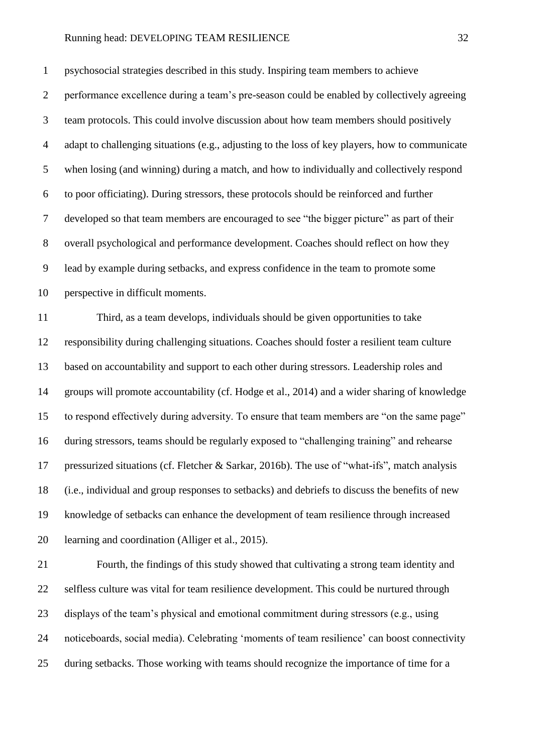psychosocial strategies described in this study. Inspiring team members to achieve 2 performance excellence during a team's pre-season could be enabled by collectively agreeing team protocols. This could involve discussion about how team members should positively adapt to challenging situations (e.g., adjusting to the loss of key players, how to communicate when losing (and winning) during a match, and how to individually and collectively respond to poor officiating). During stressors, these protocols should be reinforced and further developed so that team members are encouraged to see "the bigger picture" as part of their overall psychological and performance development. Coaches should reflect on how they lead by example during setbacks, and express confidence in the team to promote some perspective in difficult moments.

 Third, as a team develops, individuals should be given opportunities to take responsibility during challenging situations. Coaches should foster a resilient team culture based on accountability and support to each other during stressors. Leadership roles and groups will promote accountability (cf. Hodge et al., 2014) and a wider sharing of knowledge to respond effectively during adversity. To ensure that team members are "on the same page" during stressors, teams should be regularly exposed to "challenging training" and rehearse pressurized situations (cf. Fletcher & Sarkar, 2016b). The use of "what-ifs", match analysis (i.e., individual and group responses to setbacks) and debriefs to discuss the benefits of new knowledge of setbacks can enhance the development of team resilience through increased learning and coordination (Alliger et al., 2015).

 Fourth, the findings of this study showed that cultivating a strong team identity and selfless culture was vital for team resilience development. This could be nurtured through displays of the team's physical and emotional commitment during stressors (e.g., using noticeboards, social media). Celebrating 'moments of team resilience' can boost connectivity during setbacks. Those working with teams should recognize the importance of time for a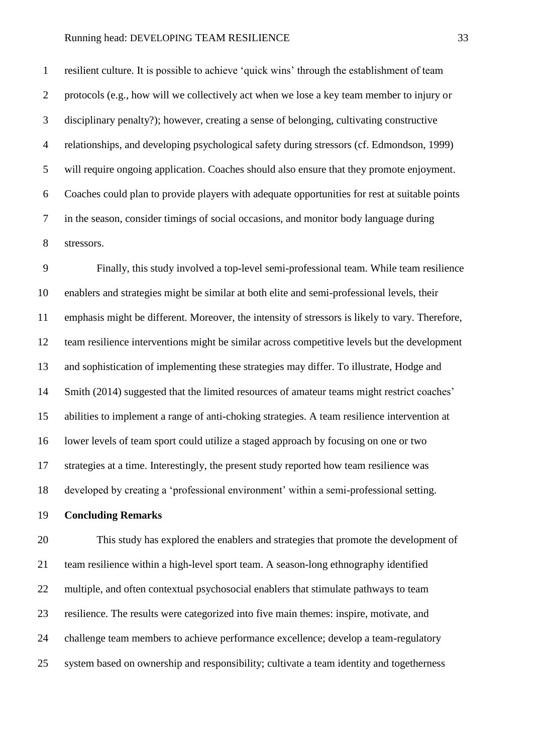resilient culture. It is possible to achieve 'quick wins' through the establishment of team protocols (e.g., how will we collectively act when we lose a key team member to injury or disciplinary penalty?); however, creating a sense of belonging, cultivating constructive relationships, and developing psychological safety during stressors (cf. Edmondson, 1999) will require ongoing application. Coaches should also ensure that they promote enjoyment. Coaches could plan to provide players with adequate opportunities for rest at suitable points in the season, consider timings of social occasions, and monitor body language during stressors.

 Finally, this study involved a top-level semi-professional team. While team resilience enablers and strategies might be similar at both elite and semi-professional levels, their emphasis might be different. Moreover, the intensity of stressors is likely to vary. Therefore, team resilience interventions might be similar across competitive levels but the development and sophistication of implementing these strategies may differ. To illustrate, Hodge and Smith (2014) suggested that the limited resources of amateur teams might restrict coaches' abilities to implement a range of anti-choking strategies. A team resilience intervention at lower levels of team sport could utilize a staged approach by focusing on one or two strategies at a time. Interestingly, the present study reported how team resilience was developed by creating a 'professional environment' within a semi-professional setting.

**Concluding Remarks**

 This study has explored the enablers and strategies that promote the development of team resilience within a high-level sport team. A season-long ethnography identified multiple, and often contextual psychosocial enablers that stimulate pathways to team resilience. The results were categorized into five main themes: inspire, motivate, and challenge team members to achieve performance excellence; develop a team-regulatory system based on ownership and responsibility; cultivate a team identity and togetherness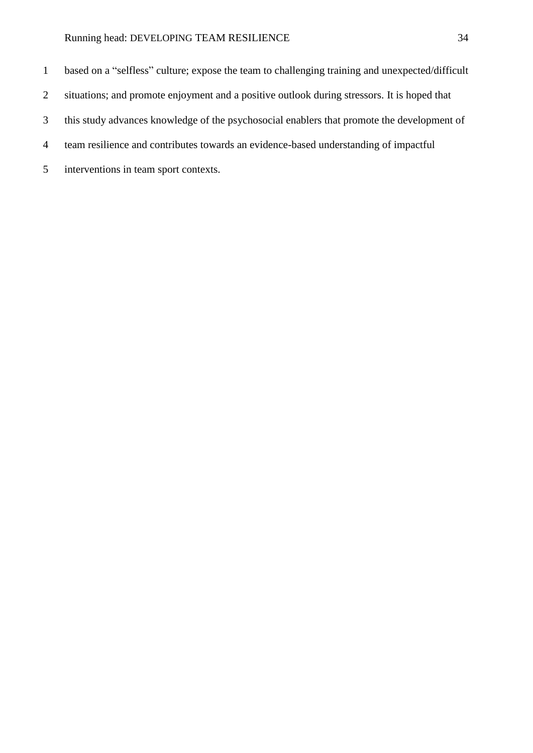based on a "selfless" culture; expose the team to challenging training and unexpected/difficult situations; and promote enjoyment and a positive outlook during stressors. It is hoped that this study advances knowledge of the psychosocial enablers that promote the development of team resilience and contributes towards an evidence-based understanding of impactful interventions in team sport contexts.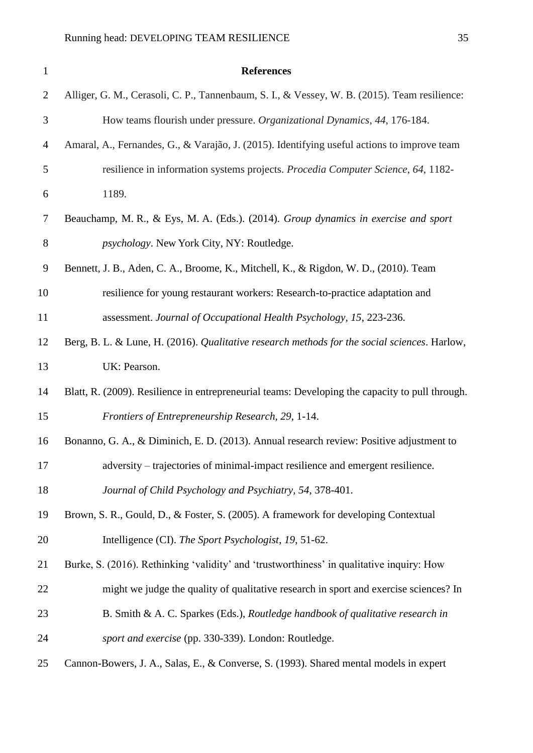| $\mathbf{1}$   | <b>References</b>                                                                               |
|----------------|-------------------------------------------------------------------------------------------------|
| $\overline{2}$ | Alliger, G. M., Cerasoli, C. P., Tannenbaum, S. I., & Vessey, W. B. (2015). Team resilience:    |
| 3              | How teams flourish under pressure. Organizational Dynamics, 44, 176-184.                        |
| $\overline{4}$ | Amaral, A., Fernandes, G., & Varajão, J. (2015). Identifying useful actions to improve team     |
| 5              | resilience in information systems projects. Procedia Computer Science, 64, 1182-                |
| 6              | 1189.                                                                                           |
| 7              | Beauchamp, M. R., & Eys, M. A. (Eds.). (2014). Group dynamics in exercise and sport             |
| 8              | psychology. New York City, NY: Routledge.                                                       |
| $\mathbf{9}$   | Bennett, J. B., Aden, C. A., Broome, K., Mitchell, K., & Rigdon, W. D., (2010). Team            |
| 10             | resilience for young restaurant workers: Research-to-practice adaptation and                    |
| 11             | assessment. Journal of Occupational Health Psychology, 15, 223-236.                             |
| 12             | Berg, B. L. & Lune, H. (2016). Qualitative research methods for the social sciences. Harlow,    |
| 13             | UK: Pearson.                                                                                    |
| 14             | Blatt, R. (2009). Resilience in entrepreneurial teams: Developing the capacity to pull through. |
| 15             | Frontiers of Entrepreneurship Research, 29, 1-14.                                               |
| 16             | Bonanno, G. A., & Diminich, E. D. (2013). Annual research review: Positive adjustment to        |
| 17             | adversity – trajectories of minimal-impact resilience and emergent resilience.                  |
| 18             | Journal of Child Psychology and Psychiatry, 54, 378-401.                                        |
| 19             | Brown, S. R., Gould, D., & Foster, S. (2005). A framework for developing Contextual             |
| 20             | Intelligence (CI). The Sport Psychologist, 19, 51-62.                                           |
| 21             | Burke, S. (2016). Rethinking 'validity' and 'trustworthiness' in qualitative inquiry: How       |
| 22             | might we judge the quality of qualitative research in sport and exercise sciences? In           |
| 23             | B. Smith & A. C. Sparkes (Eds.), Routledge handbook of qualitative research in                  |
| 24             | sport and exercise (pp. 330-339). London: Routledge.                                            |
| 25             | Cannon-Bowers, J. A., Salas, E., & Converse, S. (1993). Shared mental models in expert          |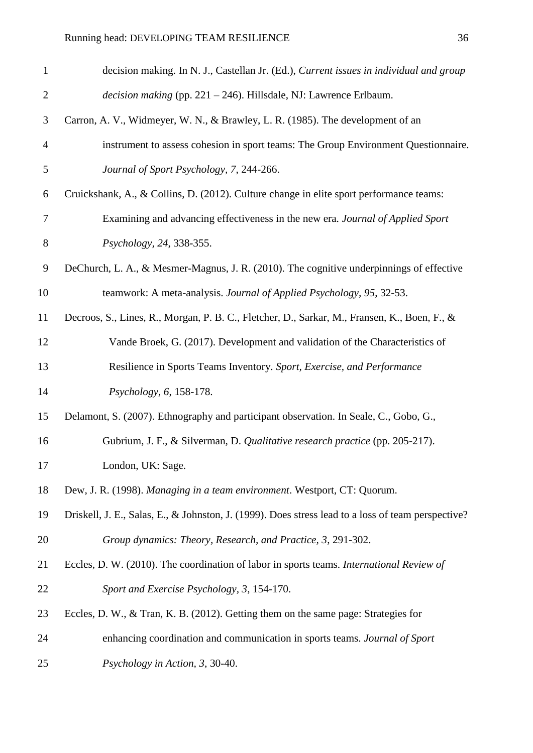| $\mathbf{1}$   | decision making. In N. J., Castellan Jr. (Ed.), Current issues in individual and group             |
|----------------|----------------------------------------------------------------------------------------------------|
| $\overline{2}$ | decision making (pp. $221 - 246$ ). Hillsdale, NJ: Lawrence Erlbaum.                               |
| 3              | Carron, A. V., Widmeyer, W. N., & Brawley, L. R. (1985). The development of an                     |
| $\overline{4}$ | instrument to assess cohesion in sport teams: The Group Environment Questionnaire.                 |
| 5              | Journal of Sport Psychology, 7, 244-266.                                                           |
| 6              | Cruickshank, A., & Collins, D. (2012). Culture change in elite sport performance teams:            |
| 7              | Examining and advancing effectiveness in the new era. Journal of Applied Sport                     |
| $8\,$          | Psychology, 24, 338-355.                                                                           |
| 9              | DeChurch, L. A., & Mesmer-Magnus, J. R. (2010). The cognitive underpinnings of effective           |
| 10             | teamwork: A meta-analysis. Journal of Applied Psychology, 95, 32-53.                               |
| 11             | Decroos, S., Lines, R., Morgan, P. B. C., Fletcher, D., Sarkar, M., Fransen, K., Boen, F., &       |
| 12             | Vande Broek, G. (2017). Development and validation of the Characteristics of                       |
| 13             | Resilience in Sports Teams Inventory. Sport, Exercise, and Performance                             |
| 14             | Psychology, 6, 158-178.                                                                            |
| 15             | Delamont, S. (2007). Ethnography and participant observation. In Seale, C., Gobo, G.,              |
| 16             | Gubrium, J. F., & Silverman, D. Qualitative research practice (pp. 205-217).                       |
| 17             | London, UK: Sage.                                                                                  |
| 18             | Dew, J. R. (1998). Managing in a team environment. Westport, CT: Quorum.                           |
| 19             | Driskell, J. E., Salas, E., & Johnston, J. (1999). Does stress lead to a loss of team perspective? |
| 20             | Group dynamics: Theory, Research, and Practice, 3, 291-302.                                        |
| 21             | Eccles, D. W. (2010). The coordination of labor in sports teams. International Review of           |
| 22             | Sport and Exercise Psychology, 3, 154-170.                                                         |
| 23             | Eccles, D. W., & Tran, K. B. (2012). Getting them on the same page: Strategies for                 |
| 24             | enhancing coordination and communication in sports teams. Journal of Sport                         |
| 25             | Psychology in Action, 3, 30-40.                                                                    |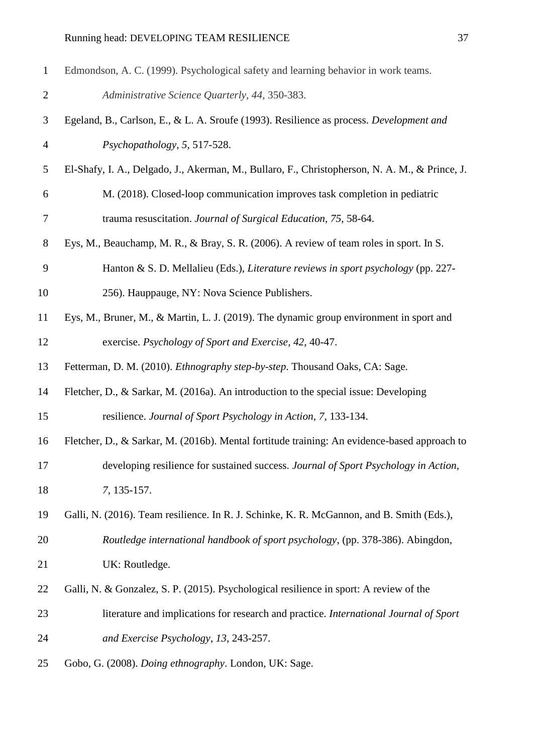| $\mathbf{1}$   | Edmondson, A. C. (1999). Psychological safety and learning behavior in work teams.             |
|----------------|------------------------------------------------------------------------------------------------|
| $\mathbf{2}$   | Administrative Science Quarterly, 44, 350-383.                                                 |
| 3              | Egeland, B., Carlson, E., & L. A. Sroufe (1993). Resilience as process. Development and        |
| $\overline{4}$ | Psychopathology, 5, 517-528.                                                                   |
| 5              | El-Shafy, I. A., Delgado, J., Akerman, M., Bullaro, F., Christopherson, N. A. M., & Prince, J. |
| 6              | M. (2018). Closed-loop communication improves task completion in pediatric                     |
| 7              | trauma resuscitation. Journal of Surgical Education, 75, 58-64.                                |
| $8\phantom{.}$ | Eys, M., Beauchamp, M. R., & Bray, S. R. (2006). A review of team roles in sport. In S.        |
| 9              | Hanton & S. D. Mellalieu (Eds.), Literature reviews in sport psychology (pp. 227-              |
| 10             | 256). Hauppauge, NY: Nova Science Publishers.                                                  |
| 11             | Eys, M., Bruner, M., & Martin, L. J. (2019). The dynamic group environment in sport and        |
| 12             | exercise. Psychology of Sport and Exercise, 42, 40-47.                                         |
| 13             | Fetterman, D. M. (2010). Ethnography step-by-step. Thousand Oaks, CA: Sage.                    |
| 14             | Fletcher, D., & Sarkar, M. (2016a). An introduction to the special issue: Developing           |
| 15             | resilience. Journal of Sport Psychology in Action, 7, 133-134.                                 |
| 16             | Fletcher, D., & Sarkar, M. (2016b). Mental fortitude training: An evidence-based approach to   |
| 17             | developing resilience for sustained success. Journal of Sport Psychology in Action,            |
| 18             | 7, 135-157.                                                                                    |
| 19             | Galli, N. (2016). Team resilience. In R. J. Schinke, K. R. McGannon, and B. Smith (Eds.),      |
| 20             | Routledge international handbook of sport psychology, (pp. 378-386). Abingdon,                 |
| 21             | UK: Routledge.                                                                                 |
| 22             | Galli, N. & Gonzalez, S. P. (2015). Psychological resilience in sport: A review of the         |
| 23             | literature and implications for research and practice. International Journal of Sport          |
| 24             | and Exercise Psychology, 13, 243-257.                                                          |
| 25             | Gobo, G. (2008). Doing ethnography. London, UK: Sage.                                          |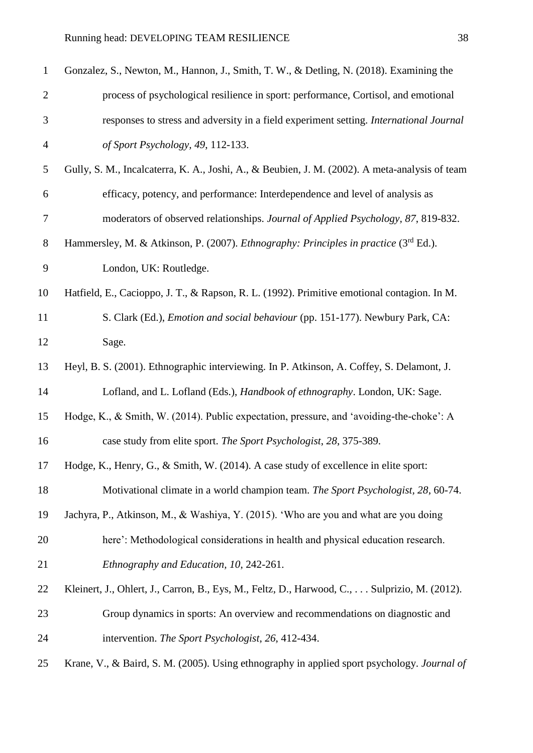| $\mathbf{1}$             | Gonzalez, S., Newton, M., Hannon, J., Smith, T. W., & Detling, N. (2018). Examining the        |
|--------------------------|------------------------------------------------------------------------------------------------|
| $\overline{2}$           | process of psychological resilience in sport: performance, Cortisol, and emotional             |
| 3                        | responses to stress and adversity in a field experiment setting. International Journal         |
| $\overline{\mathcal{A}}$ | of Sport Psychology, 49, 112-133.                                                              |
| 5                        | Gully, S. M., Incalcaterra, K. A., Joshi, A., & Beubien, J. M. (2002). A meta-analysis of team |
| 6                        | efficacy, potency, and performance: Interdependence and level of analysis as                   |
| 7                        | moderators of observed relationships. Journal of Applied Psychology, 87, 819-832.              |
| $8\,$                    | Hammersley, M. & Atkinson, P. (2007). Ethnography: Principles in practice (3rd Ed.).           |
| 9                        | London, UK: Routledge.                                                                         |
| 10                       | Hatfield, E., Cacioppo, J. T., & Rapson, R. L. (1992). Primitive emotional contagion. In M.    |
| 11                       | S. Clark (Ed.), <i>Emotion and social behaviour</i> (pp. 151-177). Newbury Park, CA:           |
| 12                       | Sage.                                                                                          |
| 13                       | Heyl, B. S. (2001). Ethnographic interviewing. In P. Atkinson, A. Coffey, S. Delamont, J.      |
| 14                       | Lofland, and L. Lofland (Eds.), Handbook of ethnography. London, UK: Sage.                     |
| 15                       | Hodge, K., & Smith, W. (2014). Public expectation, pressure, and 'avoiding-the-choke': A       |
| 16                       | case study from elite sport. The Sport Psychologist, 28, 375-389.                              |
| 17                       | Hodge, K., Henry, G., & Smith, W. (2014). A case study of excellence in elite sport:           |
| 18                       | Motivational climate in a world champion team. The Sport Psychologist, 28, 60-74.              |
| 19                       | Jachyra, P., Atkinson, M., & Washiya, Y. (2015). 'Who are you and what are you doing           |
| 20                       | here': Methodological considerations in health and physical education research.                |
| 21                       | Ethnography and Education, 10, 242-261.                                                        |
| 22                       | Kleinert, J., Ohlert, J., Carron, B., Eys, M., Feltz, D., Harwood, C.,  Sulprizio, M. (2012).  |
| 23                       | Group dynamics in sports: An overview and recommendations on diagnostic and                    |
| 24                       | intervention. The Sport Psychologist, 26, 412-434.                                             |
| 25                       | Krane, V., & Baird, S. M. (2005). Using ethnography in applied sport psychology. Journal of    |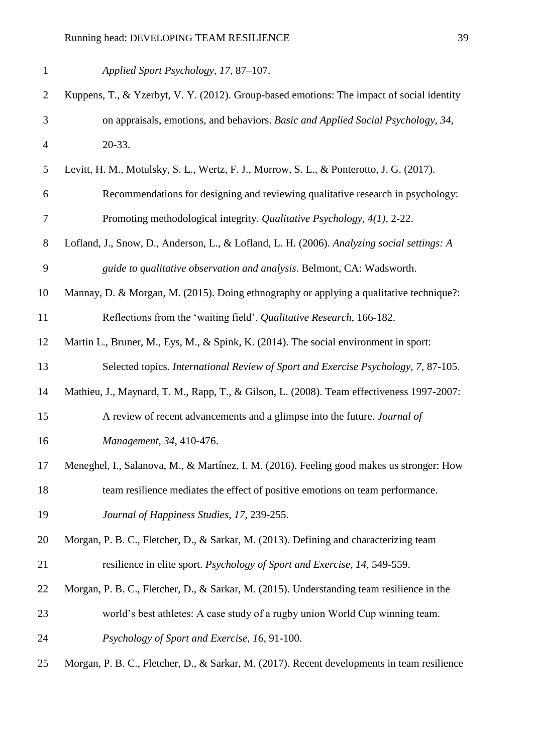| $\mathbf{1}$   | Applied Sport Psychology, 17, 87-107.                                                       |
|----------------|---------------------------------------------------------------------------------------------|
| $\overline{2}$ | Kuppens, T., & Yzerbyt, V. Y. (2012). Group-based emotions: The impact of social identity   |
| 3              | on appraisals, emotions, and behaviors. Basic and Applied Social Psychology, 34,            |
| $\overline{4}$ | 20-33.                                                                                      |
| 5              | Levitt, H. M., Motulsky, S. L., Wertz, F. J., Morrow, S. L., & Ponterotto, J. G. (2017).    |
| 6              | Recommendations for designing and reviewing qualitative research in psychology:             |
| 7              | Promoting methodological integrity. Qualitative Psychology, 4(1), 2-22.                     |
| 8              | Lofland, J., Snow, D., Anderson, L., & Lofland, L. H. (2006). Analyzing social settings: A  |
| 9              | guide to qualitative observation and analysis. Belmont, CA: Wadsworth.                      |
| 10             | Mannay, D. & Morgan, M. (2015). Doing ethnography or applying a qualitative technique?:     |
| 11             | Reflections from the 'waiting field'. Qualitative Research, 166-182.                        |
| 12             | Martin L., Bruner, M., Eys, M., & Spink, K. (2014). The social environment in sport:        |
| 13             | Selected topics. International Review of Sport and Exercise Psychology, 7, 87-105.          |
| 14             | Mathieu, J., Maynard, T. M., Rapp, T., & Gilson, L. (2008). Team effectiveness 1997-2007:   |
| 15             | A review of recent advancements and a glimpse into the future. Journal of                   |
| 16             | Management, 34, 410-476.                                                                    |
| $17\,$         | Meneghel, I., Salanova, M., & Martínez, I. M. (2016). Feeling good makes us stronger: How   |
| 18             | team resilience mediates the effect of positive emotions on team performance.               |
| 19             | Journal of Happiness Studies, 17, 239-255.                                                  |
| 20             | Morgan, P. B. C., Fletcher, D., & Sarkar, M. (2013). Defining and characterizing team       |
| 21             | resilience in elite sport. <i>Psychology of Sport and Exercise</i> , 14, 549-559.           |
| 22             | Morgan, P. B. C., Fletcher, D., & Sarkar, M. (2015). Understanding team resilience in the   |
| 23             | world's best athletes: A case study of a rugby union World Cup winning team.                |
| 24             | Psychology of Sport and Exercise, 16, 91-100.                                               |
| 25             | Morgan, P. B. C., Fletcher, D., & Sarkar, M. (2017). Recent developments in team resilience |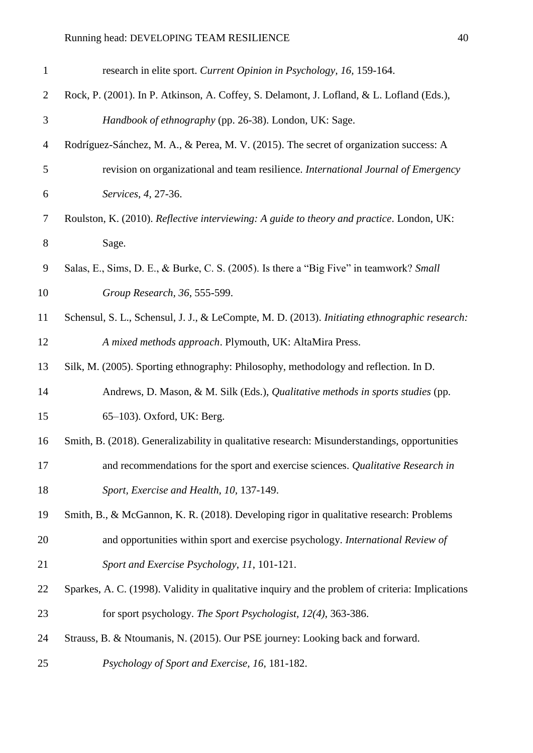| $\mathbf{1}$   | research in elite sport. Current Opinion in Psychology, 16, 159-164.                             |
|----------------|--------------------------------------------------------------------------------------------------|
| $\overline{2}$ | Rock, P. (2001). In P. Atkinson, A. Coffey, S. Delamont, J. Lofland, & L. Lofland (Eds.),        |
| 3              | Handbook of ethnography (pp. 26-38). London, UK: Sage.                                           |
| $\overline{4}$ | Rodríguez-Sánchez, M. A., & Perea, M. V. (2015). The secret of organization success: A           |
| 5              | revision on organizational and team resilience. International Journal of Emergency               |
| 6              | Services, 4, 27-36.                                                                              |
| 7              | Roulston, K. (2010). Reflective interviewing: A guide to theory and practice. London, UK:        |
| 8              | Sage.                                                                                            |
| 9              | Salas, E., Sims, D. E., & Burke, C. S. (2005). Is there a "Big Five" in teamwork? Small          |
| 10             | Group Research, 36, 555-599.                                                                     |
| 11             | Schensul, S. L., Schensul, J. J., & LeCompte, M. D. (2013). Initiating ethnographic research:    |
| 12             | A mixed methods approach. Plymouth, UK: AltaMira Press.                                          |
| 13             | Silk, M. (2005). Sporting ethnography: Philosophy, methodology and reflection. In D.             |
| 14             | Andrews, D. Mason, & M. Silk (Eds.), Qualitative methods in sports studies (pp.                  |
| 15             | 65-103). Oxford, UK: Berg.                                                                       |
| 16             | Smith, B. (2018). Generalizability in qualitative research: Misunderstandings, opportunities     |
| 17             | and recommendations for the sport and exercise sciences. Qualitative Research in                 |
| 18             | Sport, Exercise and Health, 10, 137-149.                                                         |
| 19             | Smith, B., & McGannon, K. R. (2018). Developing rigor in qualitative research: Problems          |
| 20             | and opportunities within sport and exercise psychology. International Review of                  |
| 21             | Sport and Exercise Psychology, 11, 101-121.                                                      |
| 22             | Sparkes, A. C. (1998). Validity in qualitative inquiry and the problem of criteria: Implications |
| 23             | for sport psychology. The Sport Psychologist, 12(4), 363-386.                                    |
| 24             | Strauss, B. & Ntoumanis, N. (2015). Our PSE journey: Looking back and forward.                   |
| 25             | Psychology of Sport and Exercise, 16, 181-182.                                                   |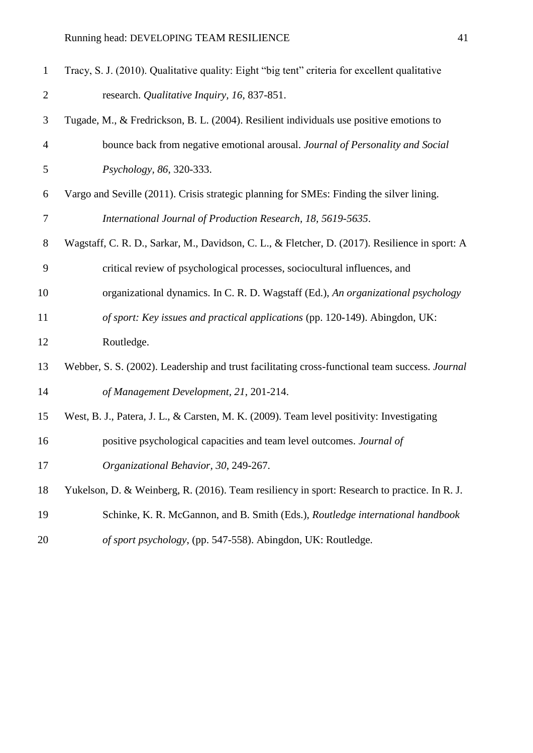| $\mathbf{1}$   | Tracy, S. J. (2010). Qualitative quality: Eight "big tent" criteria for excellent qualitative  |
|----------------|------------------------------------------------------------------------------------------------|
| $\overline{2}$ | research. Qualitative Inquiry, 16, 837-851.                                                    |
| 3              | Tugade, M., & Fredrickson, B. L. (2004). Resilient individuals use positive emotions to        |
| $\overline{4}$ | bounce back from negative emotional arousal. Journal of Personality and Social                 |
| 5              | Psychology, 86, 320-333.                                                                       |
| 6              | Vargo and Seville (2011). Crisis strategic planning for SMEs: Finding the silver lining.       |
| $\tau$         | International Journal of Production Research, 18, 5619-5635.                                   |
| $8\phantom{.}$ | Wagstaff, C. R. D., Sarkar, M., Davidson, C. L., & Fletcher, D. (2017). Resilience in sport: A |
| 9              | critical review of psychological processes, sociocultural influences, and                      |
| 10             | organizational dynamics. In C. R. D. Wagstaff (Ed.), An organizational psychology              |
| 11             | of sport: Key issues and practical applications (pp. 120-149). Abingdon, UK:                   |
| 12             | Routledge.                                                                                     |
| 13             | Webber, S. S. (2002). Leadership and trust facilitating cross-functional team success. Journal |
| 14             | of Management Development, 21, 201-214.                                                        |
| 15             | West, B. J., Patera, J. L., & Carsten, M. K. (2009). Team level positivity: Investigating      |
| 16             | positive psychological capacities and team level outcomes. Journal of                          |
| 17             | Organizational Behavior, 30, 249-267.                                                          |
| 18             | Yukelson, D. & Weinberg, R. (2016). Team resiliency in sport: Research to practice. In R. J.   |
| 19             | Schinke, K. R. McGannon, and B. Smith (Eds.), Routledge international handbook                 |
| 20             | of sport psychology, (pp. 547-558). Abingdon, UK: Routledge.                                   |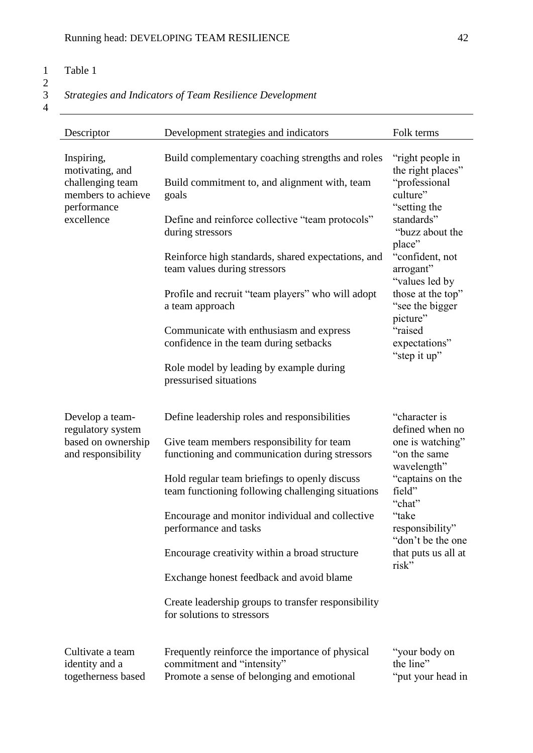## 1 Table 1

 $\begin{array}{c} 1 \\ 2 \\ 3 \end{array}$ 

## 3 *Strategies and Indicators of Team Resilience Development*

| I<br>I<br>۰. |
|--------------|
| ×<br>٠       |
|              |
|              |
|              |
|              |
|              |

| Descriptor                                                          | Development strategies and indicators                                                                                       | Folk terms                                               |
|---------------------------------------------------------------------|-----------------------------------------------------------------------------------------------------------------------------|----------------------------------------------------------|
| Inspiring,<br>motivating, and                                       | Build complementary coaching strengths and roles                                                                            | "right people in<br>the right places"                    |
| challenging team<br>members to achieve<br>performance<br>excellence | Build commitment to, and alignment with, team<br>goals                                                                      | "professional<br>culture"                                |
|                                                                     | Define and reinforce collective "team protocols"<br>during stressors                                                        | "setting the<br>standards"<br>"buzz about the            |
|                                                                     | Reinforce high standards, shared expectations, and<br>team values during stressors                                          | place"<br>"confident, not<br>arrogant"<br>"values led by |
|                                                                     | Profile and recruit "team players" who will adopt<br>a team approach                                                        | those at the top"<br>"see the bigger<br>picture"         |
|                                                                     | Communicate with enthusiasm and express<br>confidence in the team during setbacks                                           | "raised<br>expectations"<br>"step it up"                 |
|                                                                     | Role model by leading by example during<br>pressurised situations                                                           |                                                          |
| Develop a team-<br>regulatory system                                | Define leadership roles and responsibilities                                                                                | "character is<br>defined when no                         |
| based on ownership<br>and responsibility                            | Give team members responsibility for team<br>functioning and communication during stressors                                 | one is watching"<br>"on the same"<br>wavelength"         |
|                                                                     | Hold regular team briefings to openly discuss<br>team functioning following challenging situations                          | "captains on the<br>field"<br>"chat"                     |
|                                                                     | Encourage and monitor individual and collective<br>performance and tasks                                                    | "take<br>responsibility"<br>"don't be the one            |
|                                                                     | Encourage creativity within a broad structure                                                                               | that puts us all at<br>risk"                             |
|                                                                     | Exchange honest feedback and avoid blame                                                                                    |                                                          |
|                                                                     | Create leadership groups to transfer responsibility<br>for solutions to stressors                                           |                                                          |
| Cultivate a team<br>identity and a<br>togetherness based            | Frequently reinforce the importance of physical<br>commitment and "intensity"<br>Promote a sense of belonging and emotional | "your body on<br>the line"<br>"put your head in          |